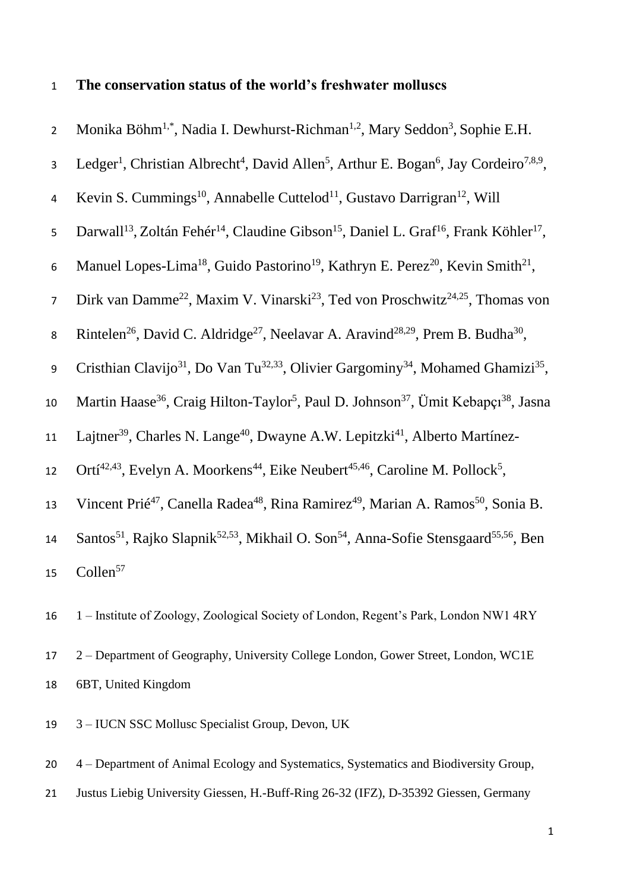# 1 **The conservation status of the world's freshwater molluscs**

| $\overline{2}$   | Monika Böhm <sup>1,*</sup> , Nadia I. Dewhurst-Richman <sup>1,2</sup> , Mary Seddon <sup>3</sup> , Sophie E.H.                                    |
|------------------|---------------------------------------------------------------------------------------------------------------------------------------------------|
| 3                | Ledger <sup>1</sup> , Christian Albrecht <sup>4</sup> , David Allen <sup>5</sup> , Arthur E. Bogan <sup>6</sup> , Jay Cordeiro <sup>7,8,9</sup> , |
| $\overline{4}$   | Kevin S. Cummings <sup>10</sup> , Annabelle Cuttelod <sup>11</sup> , Gustavo Darrigran <sup>12</sup> , Will                                       |
| 5                | Darwall <sup>13</sup> , Zoltán Fehér <sup>14</sup> , Claudine Gibson <sup>15</sup> , Daniel L. Graf <sup>16</sup> , Frank Köhler <sup>17</sup> ,  |
| $\boldsymbol{6}$ | Manuel Lopes-Lima <sup>18</sup> , Guido Pastorino <sup>19</sup> , Kathryn E. Perez <sup>20</sup> , Kevin Smith <sup>21</sup> ,                    |
| $\overline{7}$   | Dirk van Damme <sup>22</sup> , Maxim V. Vinarski <sup>23</sup> , Ted von Proschwitz <sup>24,25</sup> , Thomas von                                 |
| 8                | Rintelen <sup>26</sup> , David C. Aldridge <sup>27</sup> , Neelavar A. Aravind <sup>28,29</sup> , Prem B. Budha <sup>30</sup> ,                   |
| 9                | Cristhian Clavijo <sup>31</sup> , Do Van Tu <sup>32,33</sup> , Olivier Gargominy <sup>34</sup> , Mohamed Ghamizi <sup>35</sup> ,                  |
| 10               | Martin Haase <sup>36</sup> , Craig Hilton-Taylor <sup>5</sup> , Paul D. Johnson <sup>37</sup> , Ümit Kebapçı <sup>38</sup> , Jasna                |
| 11               | Lajtner <sup>39</sup> , Charles N. Lange <sup>40</sup> , Dwayne A.W. Lepitzki <sup>41</sup> , Alberto Martínez-                                   |
| 12               | Ortí <sup>42,43</sup> , Evelyn A. Moorkens <sup>44</sup> , Eike Neubert <sup>45,46</sup> , Caroline M. Pollock <sup>5</sup> ,                     |
| 13               | Vincent Prié <sup>47</sup> , Canella Radea <sup>48</sup> , Rina Ramirez <sup>49</sup> , Marian A. Ramos <sup>50</sup> , Sonia B.                  |
| 14               | Santos <sup>51</sup> , Rajko Slapnik <sup>52,53</sup> , Mikhail O. Son <sup>54</sup> , Anna-Sofie Stensgaard <sup>55,56</sup> , Ben               |
| 15               | Collen <sup>57</sup>                                                                                                                              |
| 16               | 1 - Institute of Zoology, Zoological Society of London, Regent's Park, London NW1 4RY                                                             |

- 17 2 Department of Geography, University College London, Gower Street, London, WC1E 18 6BT, United Kingdom
- 19 3 IUCN SSC Mollusc Specialist Group, Devon, UK

20 4 – Department of Animal Ecology and Systematics, Systematics and Biodiversity Group, 21 Justus Liebig University Giessen, H.-Buff-Ring 26-32 (IFZ), D-35392 Giessen, Germany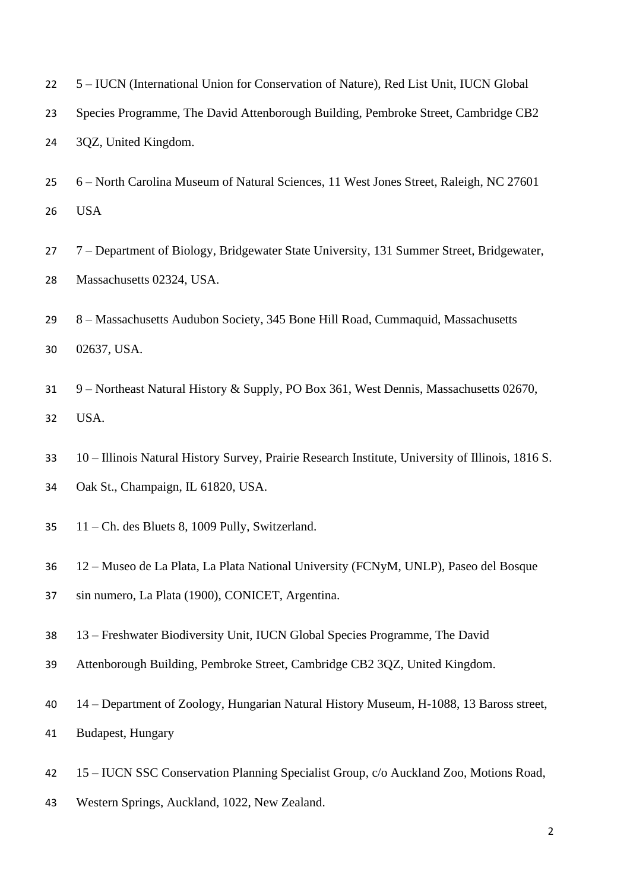- 5 IUCN (International Union for Conservation of Nature), Red List Unit, IUCN Global
- Species Programme, The David Attenborough Building, Pembroke Street, Cambridge CB2 3QZ, United Kingdom.
- 6 North Carolina Museum of Natural Sciences, 11 West Jones Street, Raleigh, NC 27601 USA
- 7 Department of Biology, Bridgewater State University, 131 Summer Street, Bridgewater, Massachusetts 02324, USA.
- 8 Massachusetts Audubon Society, 345 Bone Hill Road, Cummaquid, Massachusetts 02637, USA.
- 9 Northeast Natural History & Supply, PO Box 361, West Dennis, Massachusetts 02670, USA.
- 10 Illinois Natural History Survey, Prairie Research Institute, University of Illinois, 1816 S.
- Oak St., Champaign, IL 61820, USA.
- 11 Ch. des Bluets 8, 1009 Pully, Switzerland.
- 12 Museo de La Plata, La Plata National University (FCNyM, UNLP), Paseo del Bosque
- sin numero, La Plata (1900), CONICET, Argentina.
- 13 Freshwater Biodiversity Unit, IUCN Global Species Programme, The David
- Attenborough Building, Pembroke Street, Cambridge CB2 3QZ, United Kingdom.
- 14 Department of Zoology, Hungarian Natural History Museum, H-1088, 13 Baross street,
- Budapest, Hungary
- 15 IUCN SSC Conservation Planning Specialist Group, c/o Auckland Zoo, Motions Road,
- Western Springs, Auckland, 1022, New Zealand.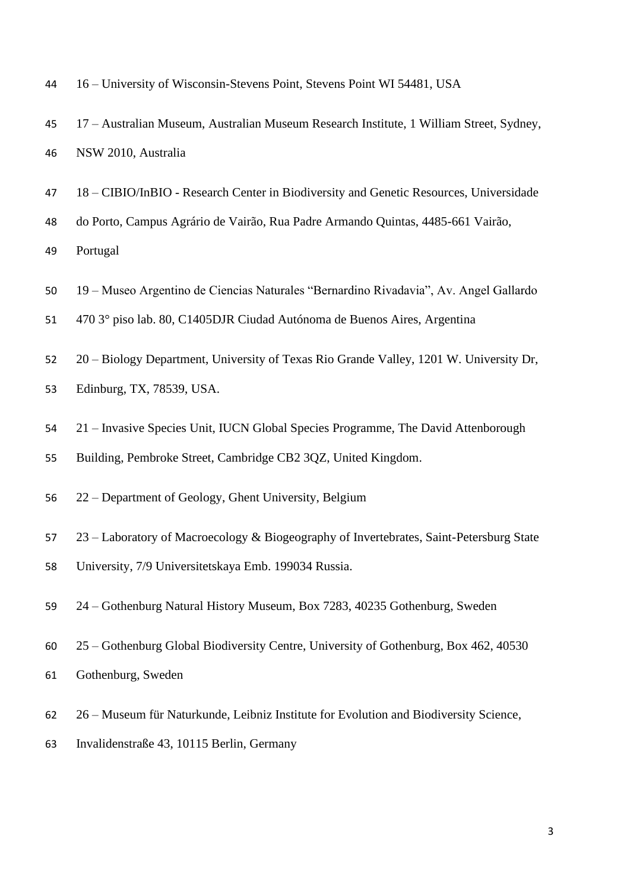16 – University of Wisconsin-Stevens Point, Stevens Point WI 54481, USA

- 17 Australian Museum, Australian Museum Research Institute, 1 William Street, Sydney, NSW 2010, Australia
- 18 CIBIO/InBIO Research Center in Biodiversity and Genetic Resources, Universidade
- do Porto, Campus Agrário de Vairão, Rua Padre Armando Quintas, 4485-661 Vairão,

Portugal

- 19 Museo Argentino de Ciencias Naturales "Bernardino Rivadavia", Av. Angel Gallardo
- 470 3° piso lab. 80, C1405DJR Ciudad Autónoma de Buenos Aires, Argentina
- 20 Biology Department, University of Texas Rio Grande Valley, 1201 W. University Dr, Edinburg, TX, 78539, USA.
- 21 Invasive Species Unit, IUCN Global Species Programme, The David Attenborough
- Building, Pembroke Street, Cambridge CB2 3QZ, United Kingdom.
- 22 Department of Geology, Ghent University, Belgium
- 23 Laboratory of Macroecology & Biogeography of Invertebrates, Saint-Petersburg State
- University, 7/9 Universitetskaya Emb. 199034 Russia.
- 24 Gothenburg Natural History Museum, Box 7283, 40235 Gothenburg, Sweden
- 25 Gothenburg Global Biodiversity Centre, University of Gothenburg, Box 462, 40530
- Gothenburg, Sweden
- 26 Museum für Naturkunde, Leibniz Institute for Evolution and Biodiversity Science,
- Invalidenstraße 43, 10115 Berlin, Germany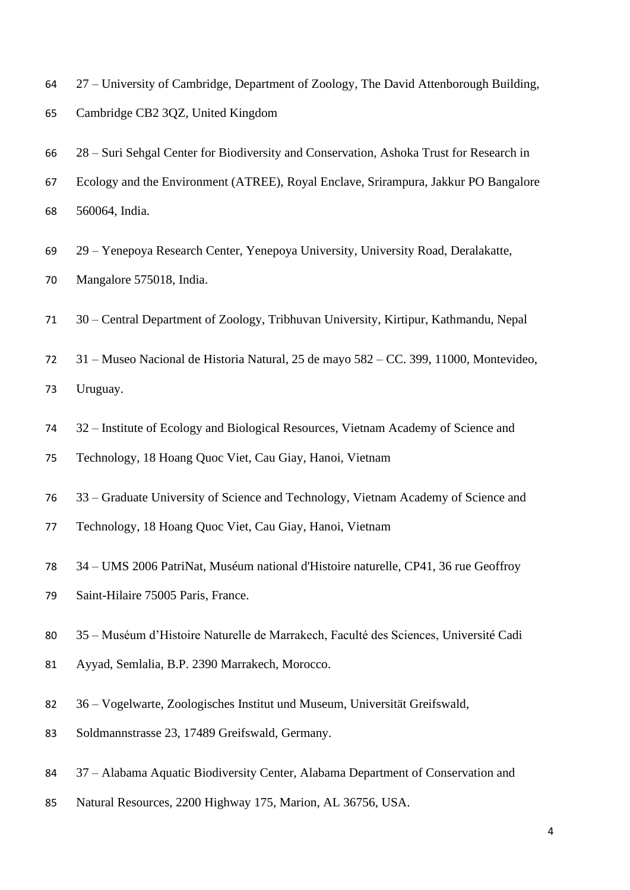27 – University of Cambridge, Department of Zoology, The David Attenborough Building,

- Cambridge CB2 3QZ, United Kingdom
- 28 Suri Sehgal Center for Biodiversity and Conservation, Ashoka Trust for Research in
- Ecology and the Environment (ATREE), Royal Enclave, Srirampura, Jakkur PO Bangalore 560064, India.
- 29 Yenepoya Research Center, Yenepoya University, University Road, Deralakatte, Mangalore 575018, India.
- 30 Central Department of Zoology, Tribhuvan University, Kirtipur, Kathmandu, Nepal
- 31 Museo Nacional de Historia Natural, 25 de mayo 582 CC. 399, 11000, Montevideo,

Uruguay.

- 32 Institute of Ecology and Biological Resources, Vietnam Academy of Science and
- Technology, 18 Hoang Quoc Viet, Cau Giay, Hanoi, Vietnam
- 33 Graduate University of Science and Technology, Vietnam Academy of Science and
- Technology, 18 Hoang Quoc Viet, Cau Giay, Hanoi, Vietnam
- 34 UMS 2006 PatriNat, Muséum national d'Histoire naturelle, CP41, 36 rue Geoffroy
- Saint-Hilaire 75005 Paris, France.
- 35 Muséum d'Histoire Naturelle de Marrakech, Faculté des Sciences, Université Cadi
- Ayyad, Semlalia, B.P. 2390 Marrakech, Morocco.
- 36 Vogelwarte, Zoologisches Institut und Museum, Universität Greifswald,
- Soldmannstrasse 23, 17489 Greifswald, Germany.
- 37 Alabama Aquatic Biodiversity Center, Alabama Department of Conservation and
- Natural Resources, 2200 Highway 175, Marion, AL 36756, USA.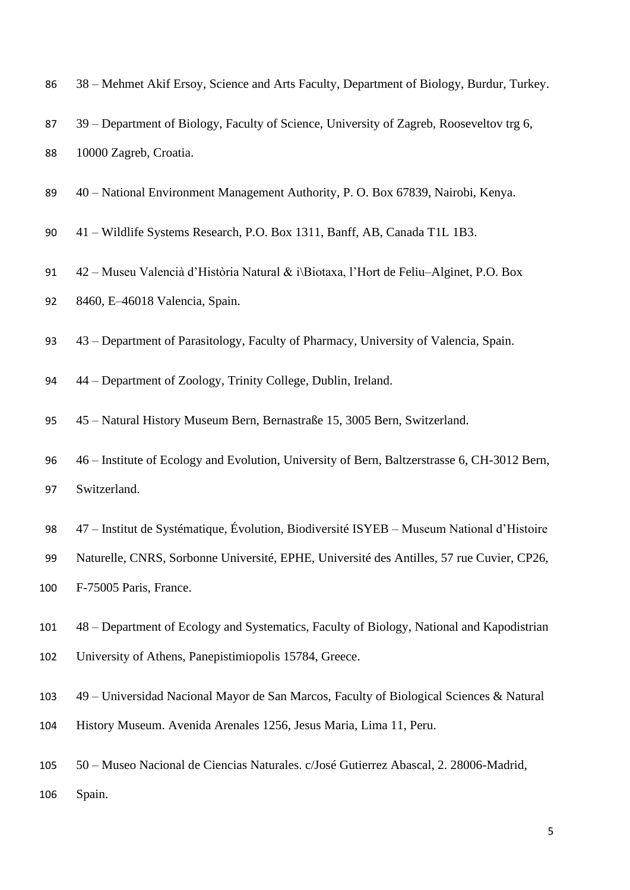| 86  | 38 - Mehmet Akif Ersoy, Science and Arts Faculty, Department of Biology, Burdur, Turkey.     |
|-----|----------------------------------------------------------------------------------------------|
| 87  | 39 - Department of Biology, Faculty of Science, University of Zagreb, Rooseveltov trg 6,     |
| 88  | 10000 Zagreb, Croatia.                                                                       |
| 89  | 40 – National Environment Management Authority, P. O. Box 67839, Nairobi, Kenya.             |
| 90  | 41 – Wildlife Systems Research, P.O. Box 1311, Banff, AB, Canada T1L 1B3.                    |
| 91  | 42 – Museu Valencià d'Història Natural & i\Biotaxa, l'Hort de Feliu–Alginet, P.O. Box        |
| 92  | 8460, E-46018 Valencia, Spain.                                                               |
| 93  | 43 – Department of Parasitology, Faculty of Pharmacy, University of Valencia, Spain.         |
| 94  | 44 – Department of Zoology, Trinity College, Dublin, Ireland.                                |
| 95  | 45 – Natural History Museum Bern, Bernastraße 15, 3005 Bern, Switzerland.                    |
| 96  | 46 – Institute of Ecology and Evolution, University of Bern, Baltzerstrasse 6, CH-3012 Bern, |
| 97  | Switzerland.                                                                                 |
| 98  | 47 – Institut de Systématique, Évolution, Biodiversité ISYEB – Museum National d'Histoire    |
| 99  | Naturelle, CNRS, Sorbonne Université, EPHE, Université des Antilles, 57 rue Cuvier, CP26,    |
| 100 | F-75005 Paris, France.                                                                       |
| 101 | 48 – Department of Ecology and Systematics, Faculty of Biology, National and Kapodistrian    |
| 102 | University of Athens, Panepistimiopolis 15784, Greece.                                       |
| 103 | 49 – Universidad Nacional Mayor de San Marcos, Faculty of Biological Sciences & Natural      |
| 104 | History Museum. Avenida Arenales 1256, Jesus Maria, Lima 11, Peru.                           |
| 105 | 50 – Museo Nacional de Ciencias Naturales. c/José Gutierrez Abascal, 2. 28006-Madrid,        |
| 106 | Spain.                                                                                       |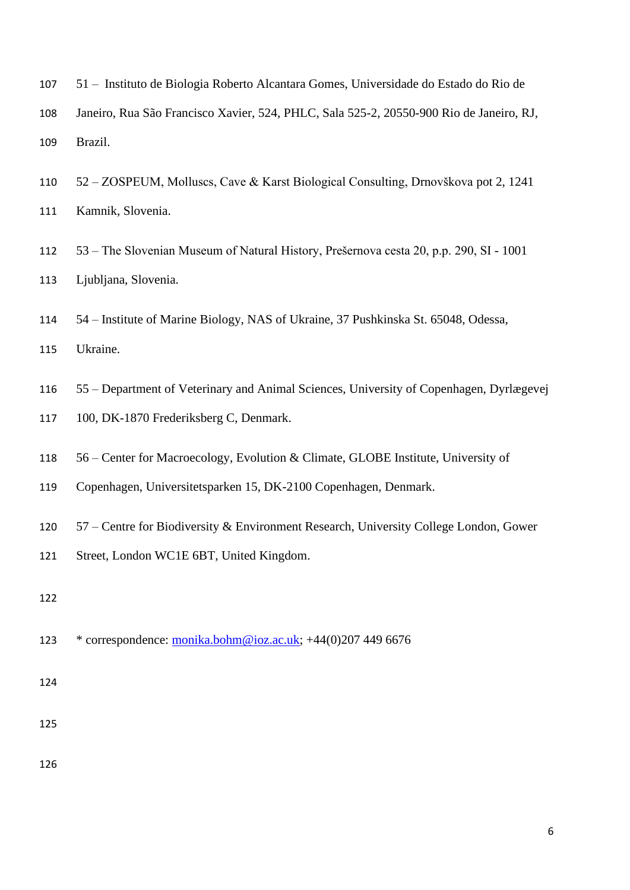- 51 Instituto de Biologia Roberto Alcantara Gomes, Universidade do Estado do Rio de
- Janeiro, Rua São Francisco Xavier, 524, PHLC, Sala 525-2, 20550-900 Rio de Janeiro, RJ, Brazil.
- 52 ZOSPEUM, Molluscs, Cave & Karst Biological Consulting, Drnovškova pot 2, 1241 Kamnik, Slovenia.
- 53 The Slovenian Museum of Natural History, Prešernova cesta 20, p.p. 290, SI 1001 Ljubljana, Slovenia.
- 54 Institute of Marine Biology, NAS of Ukraine, 37 Pushkinska St. 65048, Odessa,

Ukraine.

- 55 Department of Veterinary and Animal Sciences, University of Copenhagen, Dyrlægevej
- 100, DK-1870 Frederiksberg C, Denmark.
- 56 Center for Macroecology, Evolution & Climate, GLOBE Institute, University of
- Copenhagen, Universitetsparken 15, DK-2100 Copenhagen, Denmark.
- 57 Centre for Biodiversity & Environment Research, University College London, Gower
- Street, London WC1E 6BT, United Kingdom.
- 

\* correspondence: [monika.bohm@ioz.ac.uk;](mailto:monika.bohm@ioz.ac.uk) +44(0)207 449 6676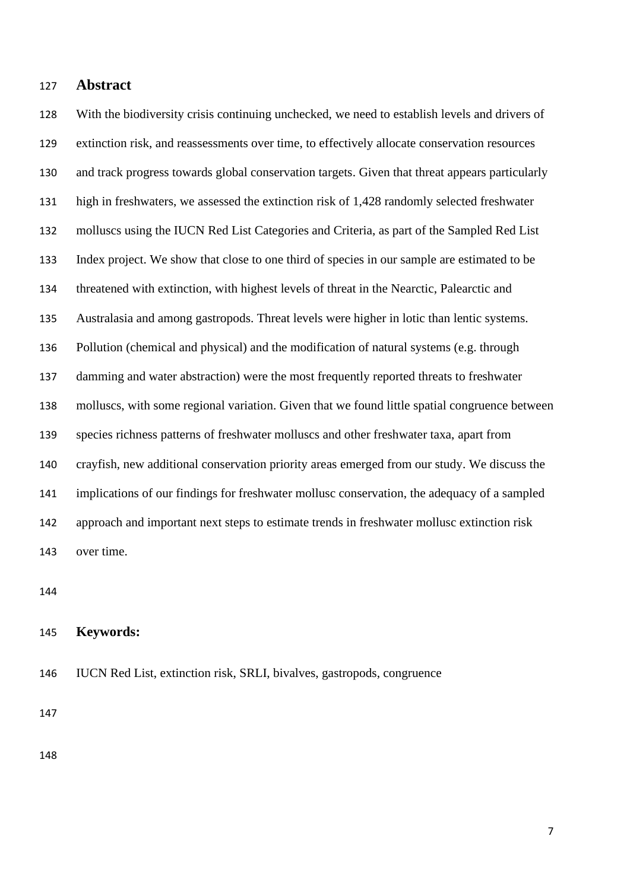# **Abstract**

 With the biodiversity crisis continuing unchecked, we need to establish levels and drivers of extinction risk, and reassessments over time, to effectively allocate conservation resources and track progress towards global conservation targets. Given that threat appears particularly high in freshwaters, we assessed the extinction risk of 1,428 randomly selected freshwater molluscs using the IUCN Red List Categories and Criteria, as part of the Sampled Red List Index project. We show that close to one third of species in our sample are estimated to be threatened with extinction, with highest levels of threat in the Nearctic, Palearctic and Australasia and among gastropods. Threat levels were higher in lotic than lentic systems. Pollution (chemical and physical) and the modification of natural systems (e.g. through damming and water abstraction) were the most frequently reported threats to freshwater molluscs, with some regional variation. Given that we found little spatial congruence between species richness patterns of freshwater molluscs and other freshwater taxa, apart from crayfish, new additional conservation priority areas emerged from our study. We discuss the implications of our findings for freshwater mollusc conservation, the adequacy of a sampled approach and important next steps to estimate trends in freshwater mollusc extinction risk over time.

### **Keywords:**

IUCN Red List, extinction risk, SRLI, bivalves, gastropods, congruence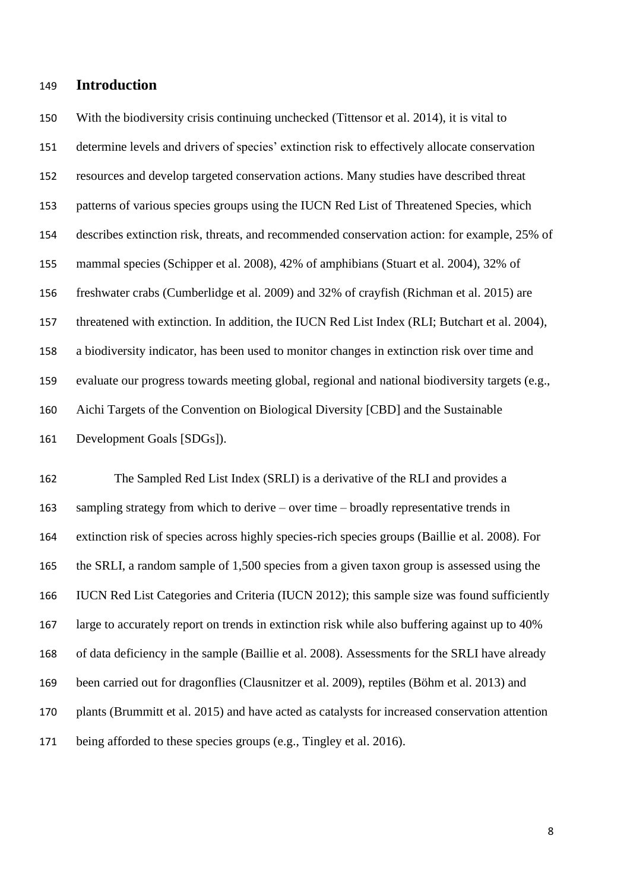# **Introduction**

 With the biodiversity crisis continuing unchecked (Tittensor et al. 2014), it is vital to determine levels and drivers of species' extinction risk to effectively allocate conservation resources and develop targeted conservation actions. Many studies have described threat patterns of various species groups using the IUCN Red List of Threatened Species, which describes extinction risk, threats, and recommended conservation action: for example, 25% of mammal species (Schipper et al. 2008), 42% of amphibians (Stuart et al. 2004), 32% of freshwater crabs (Cumberlidge et al. 2009) and 32% of crayfish (Richman et al. 2015) are threatened with extinction. In addition, the IUCN Red List Index (RLI; Butchart et al. 2004), a biodiversity indicator, has been used to monitor changes in extinction risk over time and evaluate our progress towards meeting global, regional and national biodiversity targets (e.g., Aichi Targets of the Convention on Biological Diversity [CBD] and the Sustainable Development Goals [SDGs]).

 The Sampled Red List Index (SRLI) is a derivative of the RLI and provides a sampling strategy from which to derive – over time – broadly representative trends in extinction risk of species across highly species-rich species groups (Baillie et al. 2008). For the SRLI, a random sample of 1,500 species from a given taxon group is assessed using the IUCN Red List Categories and Criteria (IUCN 2012); this sample size was found sufficiently large to accurately report on trends in extinction risk while also buffering against up to 40% of data deficiency in the sample (Baillie et al. 2008). Assessments for the SRLI have already been carried out for dragonflies (Clausnitzer et al. 2009), reptiles (Böhm et al. 2013) and plants (Brummitt et al. 2015) and have acted as catalysts for increased conservation attention being afforded to these species groups (e.g., Tingley et al. 2016).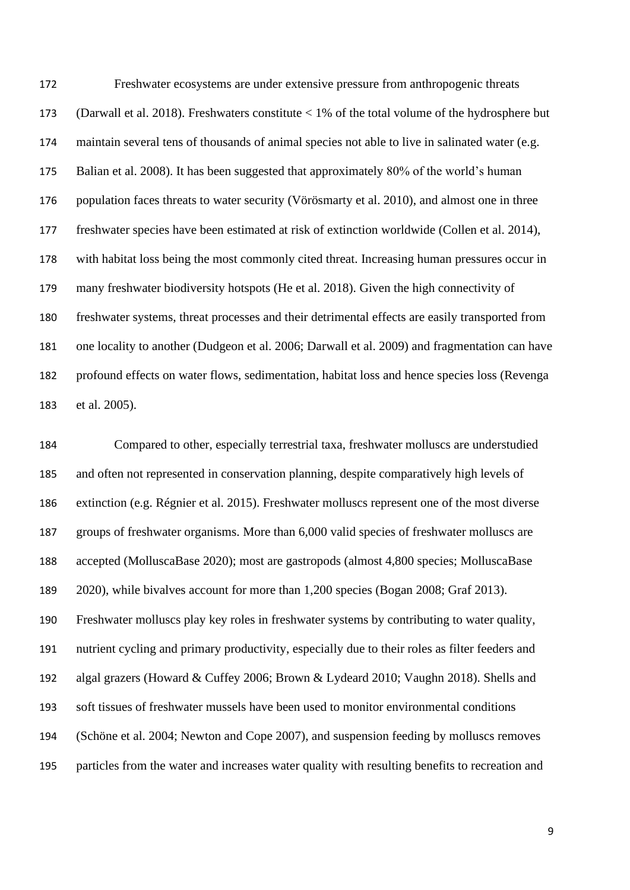Freshwater ecosystems are under extensive pressure from anthropogenic threats (Darwall et al. 2018). Freshwaters constitute < 1% of the total volume of the hydrosphere but maintain several tens of thousands of animal species not able to live in salinated water (e.g. Balian et al. 2008). It has been suggested that approximately 80% of the world's human population faces threats to water security (Vörösmarty et al. 2010), and almost one in three freshwater species have been estimated at risk of extinction worldwide (Collen et al. 2014), with habitat loss being the most commonly cited threat. Increasing human pressures occur in many freshwater biodiversity hotspots (He et al. 2018). Given the high connectivity of freshwater systems, threat processes and their detrimental effects are easily transported from one locality to another (Dudgeon et al. 2006; Darwall et al. 2009) and fragmentation can have profound effects on water flows, sedimentation, habitat loss and hence species loss (Revenga et al. 2005).

 Compared to other, especially terrestrial taxa, freshwater molluscs are understudied and often not represented in conservation planning, despite comparatively high levels of extinction (e.g. Régnier et al. 2015). Freshwater molluscs represent one of the most diverse groups of freshwater organisms. More than 6,000 valid species of freshwater molluscs are accepted (MolluscaBase 2020); most are gastropods (almost 4,800 species; MolluscaBase 2020), while bivalves account for more than 1,200 species (Bogan 2008; Graf 2013). Freshwater molluscs play key roles in freshwater systems by contributing to water quality, nutrient cycling and primary productivity, especially due to their roles as filter feeders and algal grazers (Howard & Cuffey 2006; Brown & Lydeard 2010; Vaughn 2018). Shells and soft tissues of freshwater mussels have been used to monitor environmental conditions (Schöne et al. 2004; Newton and Cope 2007), and suspension feeding by molluscs removes particles from the water and increases water quality with resulting benefits to recreation and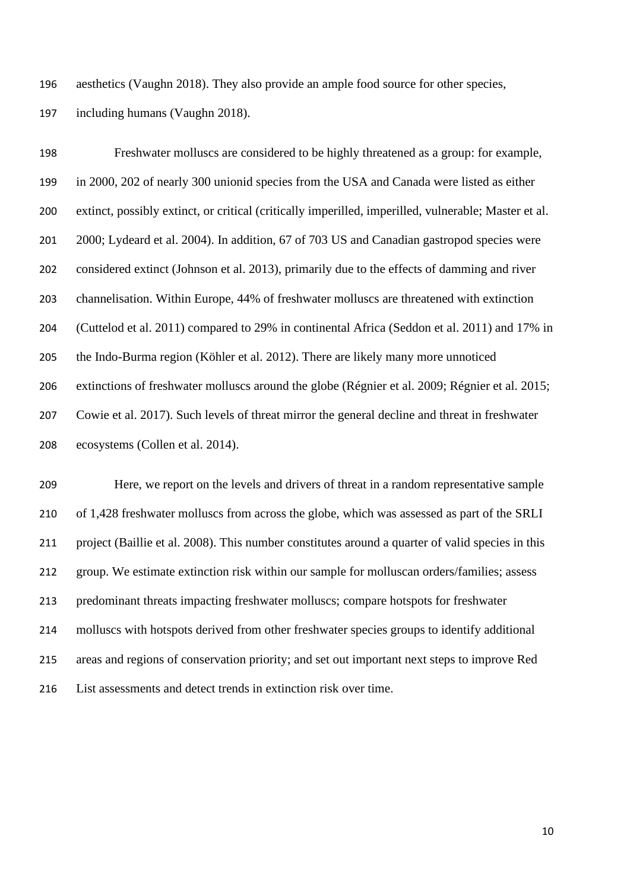aesthetics (Vaughn 2018). They also provide an ample food source for other species, including humans (Vaughn 2018).

 Freshwater molluscs are considered to be highly threatened as a group: for example, in 2000, 202 of nearly 300 unionid species from the USA and Canada were listed as either extinct, possibly extinct, or critical (critically imperilled, imperilled, vulnerable; Master et al. 2000; Lydeard et al. 2004). In addition, 67 of 703 US and Canadian gastropod species were considered extinct (Johnson et al. 2013), primarily due to the effects of damming and river channelisation. Within Europe, 44% of freshwater molluscs are threatened with extinction (Cuttelod et al. 2011) compared to 29% in continental Africa (Seddon et al. 2011) and 17% in the Indo-Burma region (Köhler et al. 2012). There are likely many more unnoticed extinctions of freshwater molluscs around the globe (Régnier et al. 2009; Régnier et al. 2015; Cowie et al. 2017). Such levels of threat mirror the general decline and threat in freshwater ecosystems (Collen et al. 2014).

 Here, we report on the levels and drivers of threat in a random representative sample of 1,428 freshwater molluscs from across the globe, which was assessed as part of the SRLI project (Baillie et al. 2008). This number constitutes around a quarter of valid species in this group. We estimate extinction risk within our sample for molluscan orders/families; assess predominant threats impacting freshwater molluscs; compare hotspots for freshwater molluscs with hotspots derived from other freshwater species groups to identify additional areas and regions of conservation priority; and set out important next steps to improve Red List assessments and detect trends in extinction risk over time.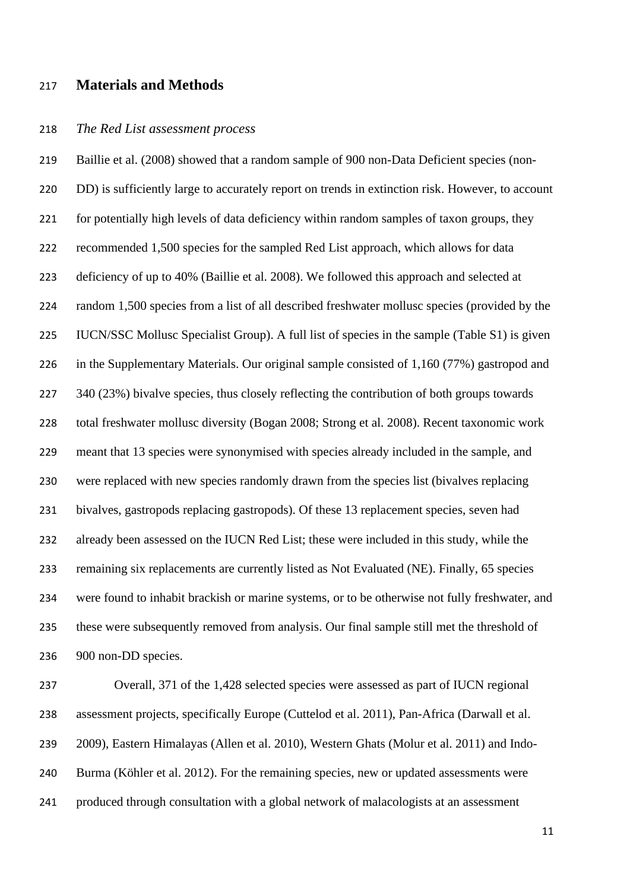# **Materials and Methods**

#### *The Red List assessment process*

 Baillie et al. (2008) showed that a random sample of 900 non-Data Deficient species (non-220 DD) is sufficiently large to accurately report on trends in extinction risk. However, to account 221 for potentially high levels of data deficiency within random samples of taxon groups, they recommended 1,500 species for the sampled Red List approach, which allows for data deficiency of up to 40% (Baillie et al. 2008). We followed this approach and selected at random 1,500 species from a list of all described freshwater mollusc species (provided by the IUCN/SSC Mollusc Specialist Group). A full list of species in the sample (Table S1) is given in the Supplementary Materials. Our original sample consisted of 1,160 (77%) gastropod and 227 340 (23%) bivalve species, thus closely reflecting the contribution of both groups towards total freshwater mollusc diversity (Bogan 2008; Strong et al. 2008). Recent taxonomic work meant that 13 species were synonymised with species already included in the sample, and were replaced with new species randomly drawn from the species list (bivalves replacing bivalves, gastropods replacing gastropods). Of these 13 replacement species, seven had already been assessed on the IUCN Red List; these were included in this study, while the remaining six replacements are currently listed as Not Evaluated (NE). Finally, 65 species were found to inhabit brackish or marine systems, or to be otherwise not fully freshwater, and these were subsequently removed from analysis. Our final sample still met the threshold of 900 non-DD species.

 Overall, 371 of the 1,428 selected species were assessed as part of IUCN regional assessment projects, specifically Europe (Cuttelod et al. 2011), Pan-Africa (Darwall et al. 2009), Eastern Himalayas (Allen et al. 2010), Western Ghats (Molur et al. 2011) and Indo- Burma (Köhler et al. 2012). For the remaining species, new or updated assessments were produced through consultation with a global network of malacologists at an assessment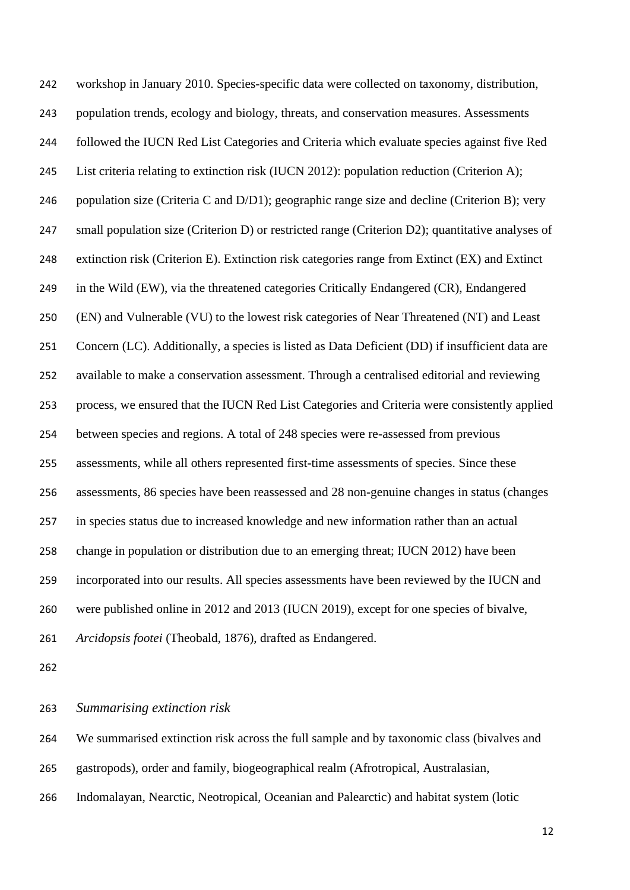workshop in January 2010. Species-specific data were collected on taxonomy, distribution, population trends, ecology and biology, threats, and conservation measures. Assessments followed the IUCN Red List Categories and Criteria which evaluate species against five Red List criteria relating to extinction risk (IUCN 2012): population reduction (Criterion A); population size (Criteria C and D/D1); geographic range size and decline (Criterion B); very small population size (Criterion D) or restricted range (Criterion D2); quantitative analyses of extinction risk (Criterion E). Extinction risk categories range from Extinct (EX) and Extinct in the Wild (EW), via the threatened categories Critically Endangered (CR), Endangered (EN) and Vulnerable (VU) to the lowest risk categories of Near Threatened (NT) and Least Concern (LC). Additionally, a species is listed as Data Deficient (DD) if insufficient data are available to make a conservation assessment. Through a centralised editorial and reviewing process, we ensured that the IUCN Red List Categories and Criteria were consistently applied between species and regions. A total of 248 species were re-assessed from previous assessments, while all others represented first-time assessments of species. Since these assessments, 86 species have been reassessed and 28 non-genuine changes in status (changes in species status due to increased knowledge and new information rather than an actual change in population or distribution due to an emerging threat; IUCN 2012) have been incorporated into our results. All species assessments have been reviewed by the IUCN and were published online in 2012 and 2013 (IUCN 2019), except for one species of bivalve, *Arcidopsis footei* (Theobald, 1876), drafted as Endangered.

#### *Summarising extinction risk*

We summarised extinction risk across the full sample and by taxonomic class (bivalves and

- gastropods), order and family, biogeographical realm (Afrotropical, Australasian,
- Indomalayan, Nearctic, Neotropical, Oceanian and Palearctic) and habitat system (lotic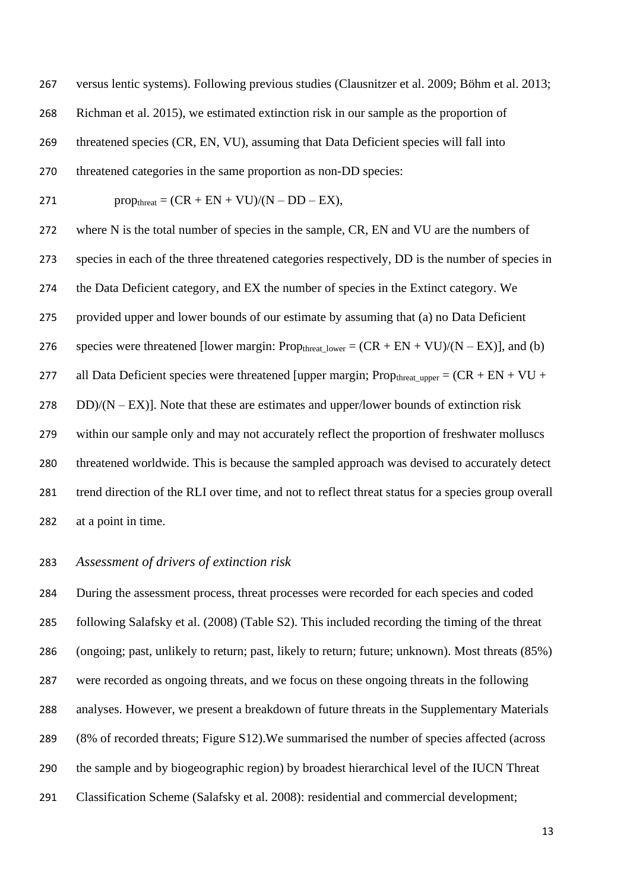versus lentic systems). Following previous studies (Clausnitzer et al. 2009; Böhm et al. 2013; Richman et al. 2015), we estimated extinction risk in our sample as the proportion of threatened species (CR, EN, VU), assuming that Data Deficient species will fall into threatened categories in the same proportion as non-DD species:  $\text{prop}_{\text{thread}} = (CR + EN + VU)/(N - DD - EX),$  where N is the total number of species in the sample, CR, EN and VU are the numbers of species in each of the three threatened categories respectively, DD is the number of species in the Data Deficient category, and EX the number of species in the Extinct category. We provided upper and lower bounds of our estimate by assuming that (a) no Data Deficient 276 species were threatened [lower margin: Propthreat lower =  $(CR + EN + VU)/(N - EX)$ ], and (b) 277 all Data Deficient species were threatened [upper margin; Prop<sub>threat upper</sub> =  $(CR + EN + VU +$  DD)/(N – EX)]. Note that these are estimates and upper/lower bounds of extinction risk within our sample only and may not accurately reflect the proportion of freshwater molluscs threatened worldwide. This is because the sampled approach was devised to accurately detect trend direction of the RLI over time, and not to reflect threat status for a species group overall at a point in time.

## *Assessment of drivers of extinction risk*

 During the assessment process, threat processes were recorded for each species and coded following Salafsky et al. (2008) (Table S2). This included recording the timing of the threat (ongoing; past, unlikely to return; past, likely to return; future; unknown). Most threats (85%) were recorded as ongoing threats, and we focus on these ongoing threats in the following analyses. However, we present a breakdown of future threats in the Supplementary Materials (8% of recorded threats; Figure S12).We summarised the number of species affected (across the sample and by biogeographic region) by broadest hierarchical level of the IUCN Threat Classification Scheme (Salafsky et al. 2008): residential and commercial development;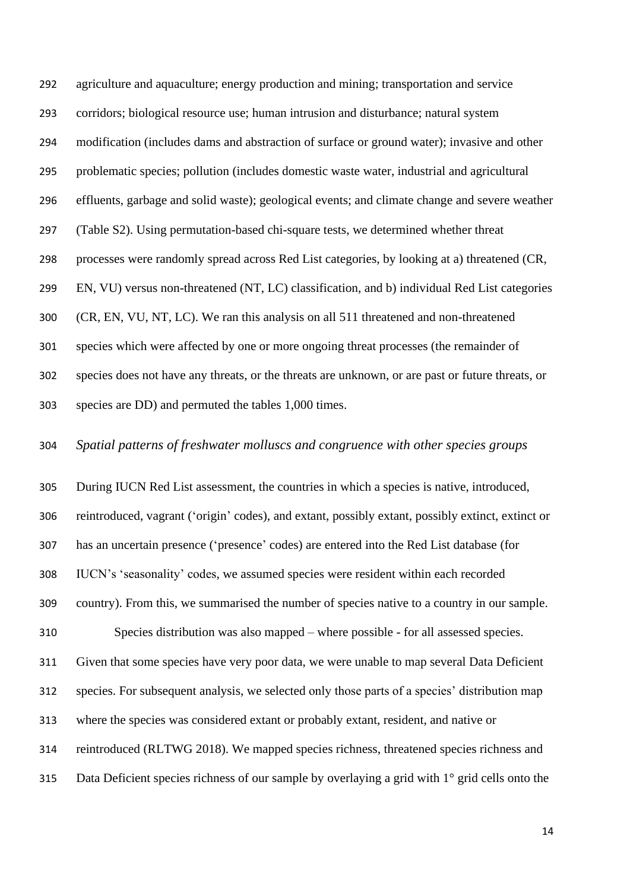agriculture and aquaculture; energy production and mining; transportation and service corridors; biological resource use; human intrusion and disturbance; natural system modification (includes dams and abstraction of surface or ground water); invasive and other problematic species; pollution (includes domestic waste water, industrial and agricultural effluents, garbage and solid waste); geological events; and climate change and severe weather (Table S2). Using permutation-based chi-square tests, we determined whether threat processes were randomly spread across Red List categories, by looking at a) threatened (CR, EN, VU) versus non-threatened (NT, LC) classification, and b) individual Red List categories (CR, EN, VU, NT, LC). We ran this analysis on all 511 threatened and non-threatened species which were affected by one or more ongoing threat processes (the remainder of species does not have any threats, or the threats are unknown, or are past or future threats, or species are DD) and permuted the tables 1,000 times.

*Spatial patterns of freshwater molluscs and congruence with other species groups*

 During IUCN Red List assessment, the countries in which a species is native, introduced, reintroduced, vagrant ('origin' codes), and extant, possibly extant, possibly extinct, extinct or has an uncertain presence ('presence' codes) are entered into the Red List database (for IUCN's 'seasonality' codes, we assumed species were resident within each recorded country). From this, we summarised the number of species native to a country in our sample. Species distribution was also mapped – where possible - for all assessed species. Given that some species have very poor data, we were unable to map several Data Deficient species. For subsequent analysis, we selected only those parts of a species' distribution map where the species was considered extant or probably extant, resident, and native or reintroduced (RLTWG 2018). We mapped species richness, threatened species richness and 315 Data Deficient species richness of our sample by overlaying a grid with 1° grid cells onto the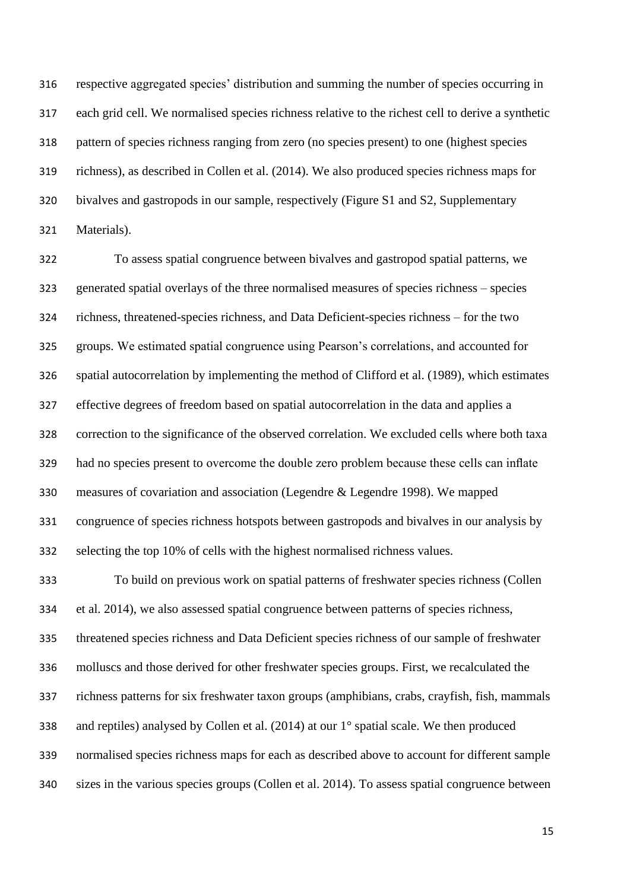respective aggregated species' distribution and summing the number of species occurring in each grid cell. We normalised species richness relative to the richest cell to derive a synthetic pattern of species richness ranging from zero (no species present) to one (highest species richness), as described in Collen et al. (2014). We also produced species richness maps for bivalves and gastropods in our sample, respectively (Figure S1 and S2, Supplementary Materials).

 To assess spatial congruence between bivalves and gastropod spatial patterns, we generated spatial overlays of the three normalised measures of species richness – species richness, threatened-species richness, and Data Deficient-species richness – for the two groups. We estimated spatial congruence using Pearson's correlations, and accounted for spatial autocorrelation by implementing the method of Clifford et al. (1989), which estimates effective degrees of freedom based on spatial autocorrelation in the data and applies a correction to the significance of the observed correlation. We excluded cells where both taxa had no species present to overcome the double zero problem because these cells can inflate measures of covariation and association (Legendre & Legendre 1998). We mapped congruence of species richness hotspots between gastropods and bivalves in our analysis by selecting the top 10% of cells with the highest normalised richness values.

 To build on previous work on spatial patterns of freshwater species richness (Collen et al. 2014), we also assessed spatial congruence between patterns of species richness, threatened species richness and Data Deficient species richness of our sample of freshwater molluscs and those derived for other freshwater species groups. First, we recalculated the richness patterns for six freshwater taxon groups (amphibians, crabs, crayfish, fish, mammals and reptiles) analysed by Collen et al. (2014) at our 1° spatial scale. We then produced normalised species richness maps for each as described above to account for different sample sizes in the various species groups (Collen et al. 2014). To assess spatial congruence between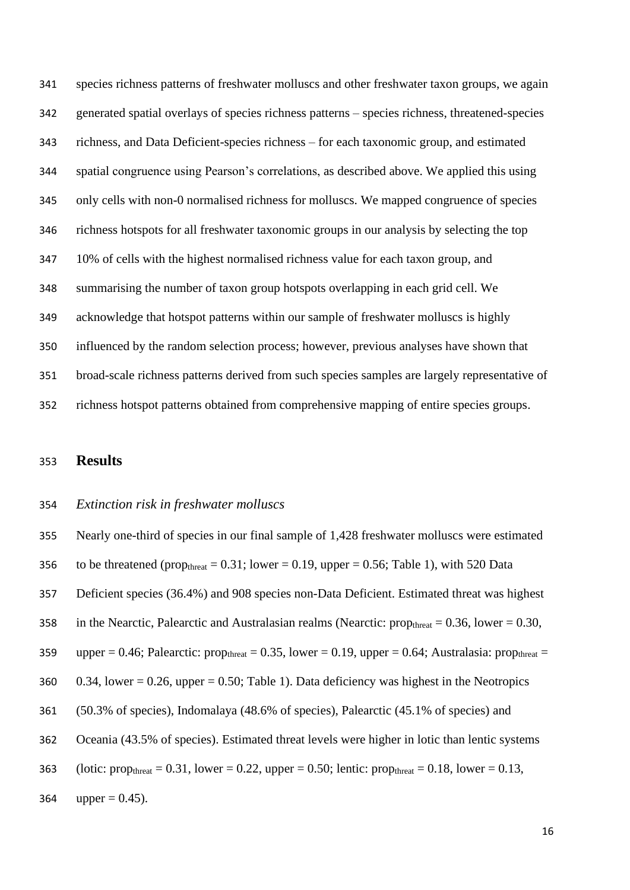species richness patterns of freshwater molluscs and other freshwater taxon groups, we again generated spatial overlays of species richness patterns – species richness, threatened-species richness, and Data Deficient-species richness – for each taxonomic group, and estimated spatial congruence using Pearson's correlations, as described above. We applied this using only cells with non-0 normalised richness for molluscs. We mapped congruence of species richness hotspots for all freshwater taxonomic groups in our analysis by selecting the top 10% of cells with the highest normalised richness value for each taxon group, and summarising the number of taxon group hotspots overlapping in each grid cell. We acknowledge that hotspot patterns within our sample of freshwater molluscs is highly influenced by the random selection process; however, previous analyses have shown that broad-scale richness patterns derived from such species samples are largely representative of richness hotspot patterns obtained from comprehensive mapping of entire species groups.

# **Results**

## *Extinction risk in freshwater molluscs*

 Nearly one-third of species in our final sample of 1,428 freshwater molluscs were estimated 356 to be threatened (prop<sub>threat</sub> = 0.31; lower = 0.19, upper = 0.56; Table 1), with 520 Data Deficient species (36.4%) and 908 species non-Data Deficient. Estimated threat was highest 358 in the Nearctic, Palearctic and Australasian realms (Nearctic: prop<sub>threat</sub> =  $0.36$ , lower =  $0.30$ , 359 upper = 0.46; Palearctic: prop<sub>threat</sub> = 0.35, lower = 0.19, upper = 0.64; Australasia: prop<sub>threat</sub> = 360 0.34, lower = 0.26, upper = 0.50; Table 1). Data deficiency was highest in the Neotropics (50.3% of species), Indomalaya (48.6% of species), Palearctic (45.1% of species) and Oceania (43.5% of species). Estimated threat levels were higher in lotic than lentic systems 363 (lotic: prop<sub>threat</sub> = 0.31, lower = 0.22, upper = 0.50; lentic: prop<sub>threat</sub> = 0.18, lower = 0.13, 364 upper =  $0.45$ ).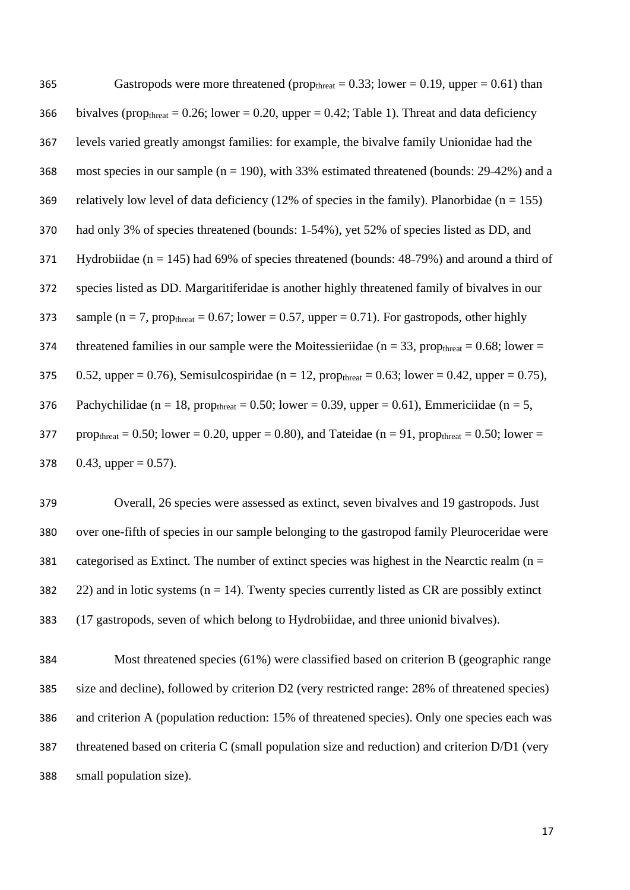| 365 | Gastropods were more threatened (prop <sub>threat</sub> = 0.33; lower = 0.19, upper = 0.61) than                             |
|-----|------------------------------------------------------------------------------------------------------------------------------|
| 366 | bivalves (prop <sub>threat</sub> = 0.26; lower = 0.20, upper = 0.42; Table 1). Threat and data deficiency                    |
| 367 | levels varied greatly amongst families: for example, the bivalve family Unionidae had the                                    |
| 368 | most species in our sample ( $n = 190$ ), with 33% estimated threatened (bounds: 29–42%) and a                               |
| 369 | relatively low level of data deficiency (12% of species in the family). Planorbidae ( $n = 155$ )                            |
| 370 | had only 3% of species threatened (bounds: 1-54%), yet 52% of species listed as DD, and                                      |
| 371 | Hydrobiidae ( $n = 145$ ) had 69% of species threatened (bounds: 48–79%) and around a third of                               |
| 372 | species listed as DD. Margaritiferidae is another highly threatened family of bivalves in our                                |
| 373 | sample ( $n = 7$ , prop <sub>threat</sub> = 0.67; lower = 0.57, upper = 0.71). For gastropods, other highly                  |
| 374 | threatened families in our sample were the Moitessieriidae ( $n = 33$ , prop <sub>threat</sub> = 0.68; lower =               |
| 375 | 0.52, upper = 0.76), Semisulcospiridae ( $n = 12$ , prop <sub>threat</sub> = 0.63; lower = 0.42, upper = 0.75),              |
| 376 | Pachychilidae ( $n = 18$ , prop <sub>threat</sub> = 0.50; lower = 0.39, upper = 0.61), Emmericiidae ( $n = 5$ ,              |
| 377 | prop <sub>threat</sub> = 0.50; lower = 0.20, upper = 0.80), and Tateidae ( $n = 91$ , prop <sub>threat</sub> = 0.50; lower = |
| 378 | 0.43, upper = $0.57$ ).                                                                                                      |

 Overall, 26 species were assessed as extinct, seven bivalves and 19 gastropods. Just over one-fifth of species in our sample belonging to the gastropod family Pleuroceridae were 381 categorised as Extinct. The number of extinct species was highest in the Nearctic realm ( $n =$ 382 22) and in lotic systems ( $n = 14$ ). Twenty species currently listed as CR are possibly extinct (17 gastropods, seven of which belong to Hydrobiidae, and three unionid bivalves).

 Most threatened species (61%) were classified based on criterion B (geographic range size and decline), followed by criterion D2 (very restricted range: 28% of threatened species) and criterion A (population reduction: 15% of threatened species). Only one species each was threatened based on criteria C (small population size and reduction) and criterion D/D1 (very small population size).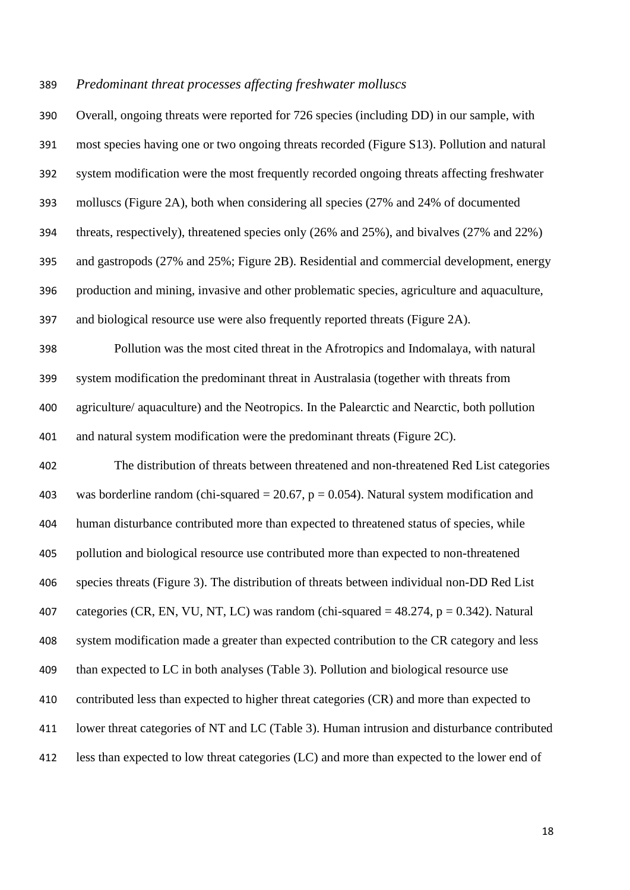### *Predominant threat processes affecting freshwater molluscs*

 Overall, ongoing threats were reported for 726 species (including DD) in our sample, with most species having one or two ongoing threats recorded (Figure S13). Pollution and natural system modification were the most frequently recorded ongoing threats affecting freshwater molluscs (Figure 2A), both when considering all species (27% and 24% of documented threats, respectively), threatened species only (26% and 25%), and bivalves (27% and 22%) and gastropods (27% and 25%; Figure 2B). Residential and commercial development, energy production and mining, invasive and other problematic species, agriculture and aquaculture, and biological resource use were also frequently reported threats (Figure 2A). Pollution was the most cited threat in the Afrotropics and Indomalaya, with natural system modification the predominant threat in Australasia (together with threats from agriculture/ aquaculture) and the Neotropics. In the Palearctic and Nearctic, both pollution and natural system modification were the predominant threats (Figure 2C). The distribution of threats between threatened and non-threatened Red List categories 403 was borderline random (chi-squared  $= 20.67$ ,  $p = 0.054$ ). Natural system modification and human disturbance contributed more than expected to threatened status of species, while pollution and biological resource use contributed more than expected to non-threatened species threats (Figure 3). The distribution of threats between individual non-DD Red List 407 categories (CR, EN, VU, NT, LC) was random (chi-squared  $= 48.274$ ,  $p = 0.342$ ). Natural system modification made a greater than expected contribution to the CR category and less than expected to LC in both analyses (Table 3). Pollution and biological resource use contributed less than expected to higher threat categories (CR) and more than expected to lower threat categories of NT and LC (Table 3). Human intrusion and disturbance contributed less than expected to low threat categories (LC) and more than expected to the lower end of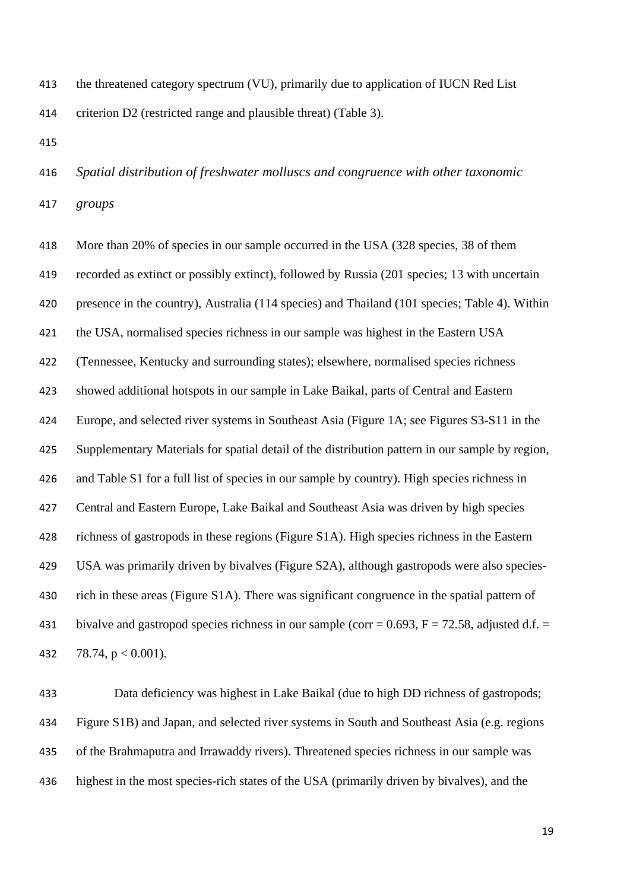the threatened category spectrum (VU), primarily due to application of IUCN Red List criterion D2 (restricted range and plausible threat) (Table 3).

 *Spatial distribution of freshwater molluscs and congruence with other taxonomic groups*

 More than 20% of species in our sample occurred in the USA (328 species, 38 of them recorded as extinct or possibly extinct), followed by Russia (201 species; 13 with uncertain presence in the country), Australia (114 species) and Thailand (101 species; Table 4). Within the USA, normalised species richness in our sample was highest in the Eastern USA (Tennessee, Kentucky and surrounding states); elsewhere, normalised species richness showed additional hotspots in our sample in Lake Baikal, parts of Central and Eastern Europe, and selected river systems in Southeast Asia (Figure 1A; see Figures S3-S11 in the Supplementary Materials for spatial detail of the distribution pattern in our sample by region, and Table S1 for a full list of species in our sample by country). High species richness in Central and Eastern Europe, Lake Baikal and Southeast Asia was driven by high species richness of gastropods in these regions (Figure S1A). High species richness in the Eastern USA was primarily driven by bivalves (Figure S2A), although gastropods were also species- rich in these areas (Figure S1A). There was significant congruence in the spatial pattern of 431 bivalve and gastropod species richness in our sample (corr =  $0.693$ , F =  $72.58$ , adjusted d.f. = 432 78.74,  $p < 0.001$ ).

 Data deficiency was highest in Lake Baikal (due to high DD richness of gastropods; Figure S1B) and Japan, and selected river systems in South and Southeast Asia (e.g. regions of the Brahmaputra and Irrawaddy rivers). Threatened species richness in our sample was highest in the most species-rich states of the USA (primarily driven by bivalves), and the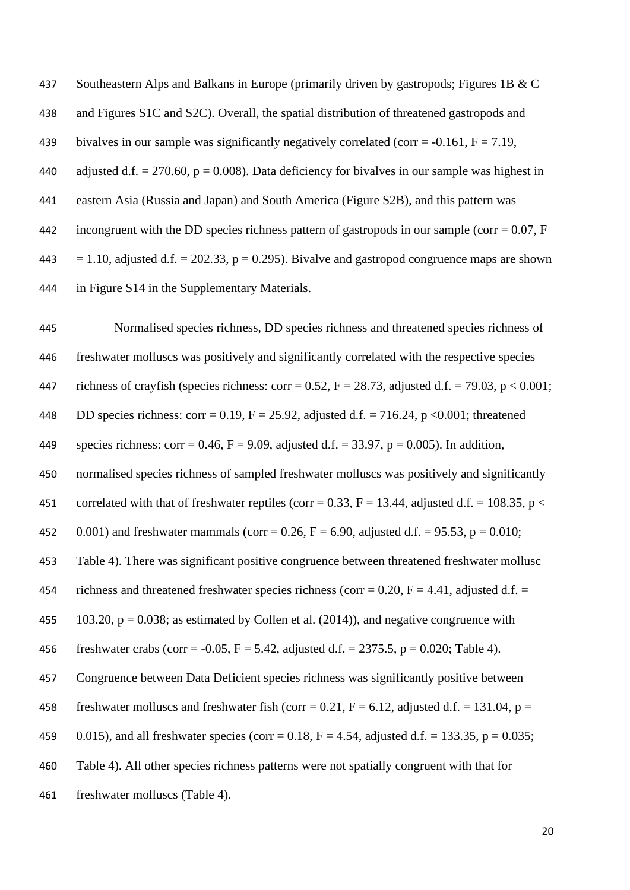437 Southeastern Alps and Balkans in Europe (primarily driven by gastropods; Figures 1B & C 438 and Figures S1C and S2C). Overall, the spatial distribution of threatened gastropods and 439 bivalves in our sample was significantly negatively correlated (corr =  $-0.161$ , F = 7.19, 440 adjusted d.f.  $= 270.60$ ,  $p = 0.008$ ). Data deficiency for bivalves in our sample was highest in 441 eastern Asia (Russia and Japan) and South America (Figure S2B), and this pattern was 442 incongruent with the DD species richness pattern of gastropods in our sample (corr =  $0.07$ , F 443 = 1.10, adjusted d.f. = 202.33,  $p = 0.295$ ). Bivalve and gastropod congruence maps are shown 444 in Figure S14 in the Supplementary Materials.

445 Normalised species richness, DD species richness and threatened species richness of 446 freshwater molluscs was positively and significantly correlated with the respective species 447 richness of crayfish (species richness: corr = 0.52, F = 28.73, adjusted d.f. = 79.03, p < 0.001; 448 DD species richness: corr = 0.19,  $F = 25.92$ , adjusted d.f. = 716.24, p < 0.001; threatened 449 species richness: corr = 0.46, F = 9.09, adjusted d.f. = 33.97, p = 0.005). In addition, 450 normalised species richness of sampled freshwater molluscs was positively and significantly 451 correlated with that of freshwater reptiles (corr = 0.33, F = 13.44, adjusted d.f. = 108.35, p < 452 0.001) and freshwater mammals (corr = 0.26, F = 6.90, adjusted d.f. = 95.53, p = 0.010; 453 Table 4). There was significant positive congruence between threatened freshwater mollusc 454 richness and threatened freshwater species richness (corr =  $0.20$ , F = 4.41, adjusted d.f. = 455 103.20,  $p = 0.038$ ; as estimated by Collen et al. (2014)), and negative congruence with 456 freshwater crabs (corr =  $-0.05$ , F = 5.42, adjusted d.f. = 2375.5, p = 0.020; Table 4). 457 Congruence between Data Deficient species richness was significantly positive between 458 freshwater molluscs and freshwater fish (corr = 0.21,  $F = 6.12$ , adjusted d.f. = 131.04, p = 459 0.015), and all freshwater species (corr = 0.18, F = 4.54, adjusted d.f. = 133.35, p = 0.035; 460 Table 4). All other species richness patterns were not spatially congruent with that for 461 freshwater molluscs (Table 4).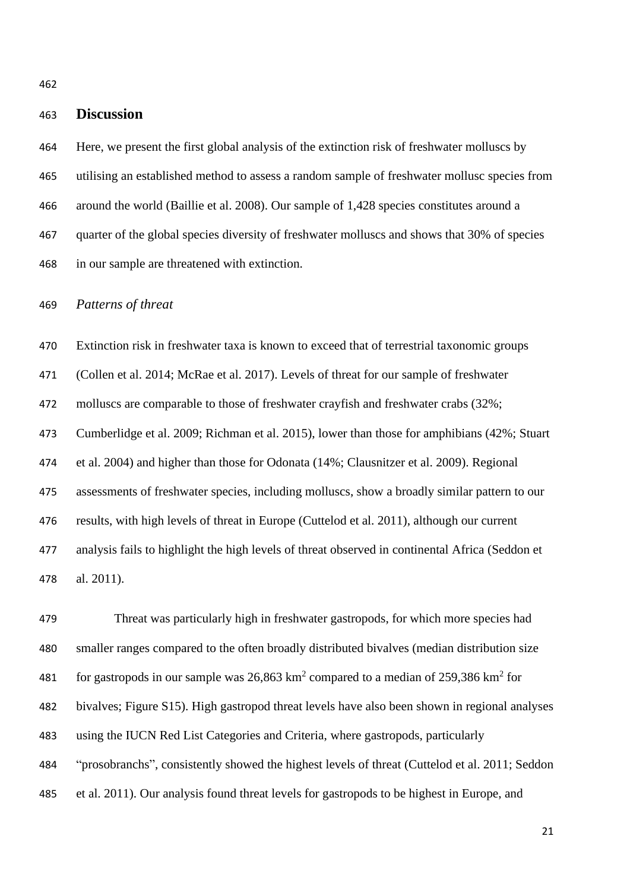# **Discussion**

 Here, we present the first global analysis of the extinction risk of freshwater molluscs by utilising an established method to assess a random sample of freshwater mollusc species from around the world (Baillie et al. 2008). Our sample of 1,428 species constitutes around a quarter of the global species diversity of freshwater molluscs and shows that 30% of species in our sample are threatened with extinction.

*Patterns of threat*

 Extinction risk in freshwater taxa is known to exceed that of terrestrial taxonomic groups (Collen et al. 2014; McRae et al. 2017). Levels of threat for our sample of freshwater molluscs are comparable to those of freshwater crayfish and freshwater crabs (32%; Cumberlidge et al. 2009; Richman et al. 2015), lower than those for amphibians (42%; Stuart et al. 2004) and higher than those for Odonata (14%; Clausnitzer et al. 2009). Regional assessments of freshwater species, including molluscs, show a broadly similar pattern to our results, with high levels of threat in Europe (Cuttelod et al. 2011), although our current analysis fails to highlight the high levels of threat observed in continental Africa (Seddon et al. 2011).

 Threat was particularly high in freshwater gastropods, for which more species had smaller ranges compared to the often broadly distributed bivalves (median distribution size 481 for gastropods in our sample was  $26,863 \text{ km}^2$  compared to a median of  $259,386 \text{ km}^2$  for bivalves; Figure S15). High gastropod threat levels have also been shown in regional analyses using the IUCN Red List Categories and Criteria, where gastropods, particularly "prosobranchs", consistently showed the highest levels of threat (Cuttelod et al. 2011; Seddon et al. 2011). Our analysis found threat levels for gastropods to be highest in Europe, and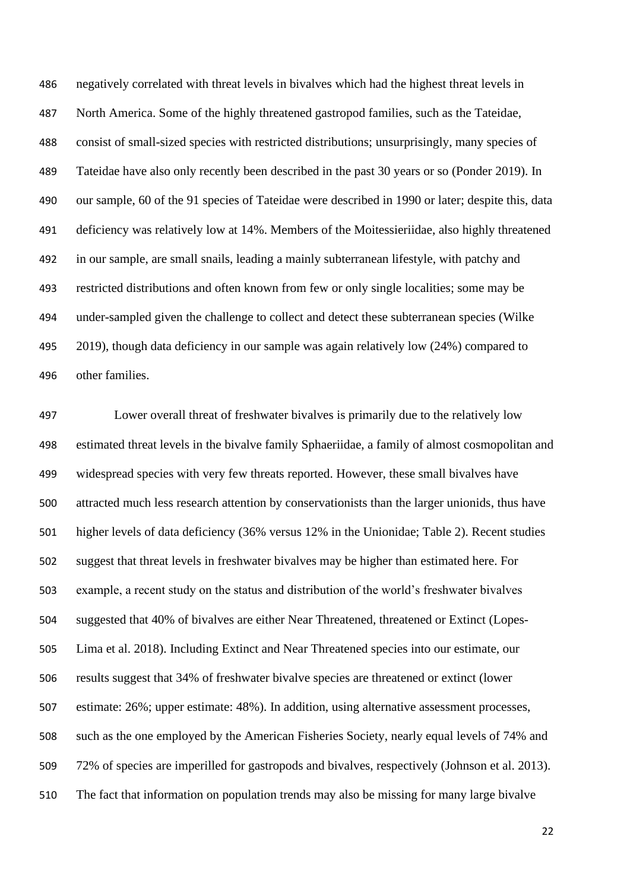negatively correlated with threat levels in bivalves which had the highest threat levels in North America. Some of the highly threatened gastropod families, such as the Tateidae, consist of small-sized species with restricted distributions; unsurprisingly, many species of Tateidae have also only recently been described in the past 30 years or so (Ponder 2019). In our sample, 60 of the 91 species of Tateidae were described in 1990 or later; despite this, data deficiency was relatively low at 14%. Members of the Moitessieriidae, also highly threatened in our sample, are small snails, leading a mainly subterranean lifestyle, with patchy and restricted distributions and often known from few or only single localities; some may be under-sampled given the challenge to collect and detect these subterranean species (Wilke 2019), though data deficiency in our sample was again relatively low (24%) compared to other families.

 Lower overall threat of freshwater bivalves is primarily due to the relatively low estimated threat levels in the bivalve family Sphaeriidae, a family of almost cosmopolitan and widespread species with very few threats reported. However, these small bivalves have attracted much less research attention by conservationists than the larger unionids, thus have higher levels of data deficiency (36% versus 12% in the Unionidae; Table 2). Recent studies suggest that threat levels in freshwater bivalves may be higher than estimated here. For example, a recent study on the status and distribution of the world's freshwater bivalves suggested that 40% of bivalves are either Near Threatened, threatened or Extinct (Lopes- Lima et al. 2018). Including Extinct and Near Threatened species into our estimate, our results suggest that 34% of freshwater bivalve species are threatened or extinct (lower estimate: 26%; upper estimate: 48%). In addition, using alternative assessment processes, such as the one employed by the American Fisheries Society, nearly equal levels of 74% and 72% of species are imperilled for gastropods and bivalves, respectively (Johnson et al. 2013). The fact that information on population trends may also be missing for many large bivalve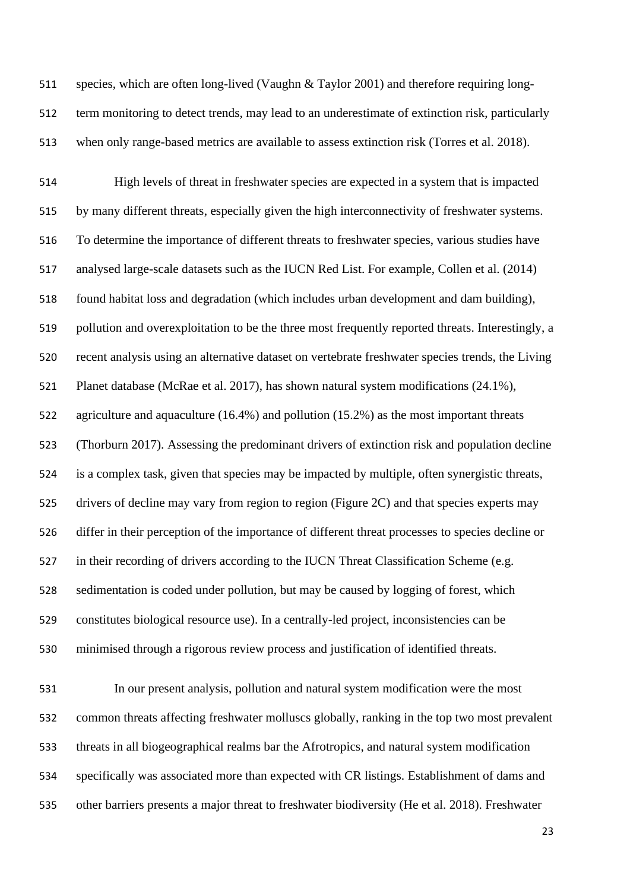species, which are often long-lived (Vaughn & Taylor 2001) and therefore requiring long- term monitoring to detect trends, may lead to an underestimate of extinction risk, particularly when only range-based metrics are available to assess extinction risk (Torres et al. 2018).

 High levels of threat in freshwater species are expected in a system that is impacted by many different threats, especially given the high interconnectivity of freshwater systems. To determine the importance of different threats to freshwater species, various studies have analysed large-scale datasets such as the IUCN Red List. For example, Collen et al. (2014) found habitat loss and degradation (which includes urban development and dam building), pollution and overexploitation to be the three most frequently reported threats. Interestingly, a recent analysis using an alternative dataset on vertebrate freshwater species trends, the Living Planet database (McRae et al. 2017), has shown natural system modifications (24.1%), agriculture and aquaculture (16.4%) and pollution (15.2%) as the most important threats (Thorburn 2017). Assessing the predominant drivers of extinction risk and population decline is a complex task, given that species may be impacted by multiple, often synergistic threats, drivers of decline may vary from region to region (Figure 2C) and that species experts may differ in their perception of the importance of different threat processes to species decline or in their recording of drivers according to the IUCN Threat Classification Scheme (e.g. sedimentation is coded under pollution, but may be caused by logging of forest, which constitutes biological resource use). In a centrally-led project, inconsistencies can be minimised through a rigorous review process and justification of identified threats.

 In our present analysis, pollution and natural system modification were the most common threats affecting freshwater molluscs globally, ranking in the top two most prevalent threats in all biogeographical realms bar the Afrotropics, and natural system modification specifically was associated more than expected with CR listings. Establishment of dams and other barriers presents a major threat to freshwater biodiversity (He et al. 2018). Freshwater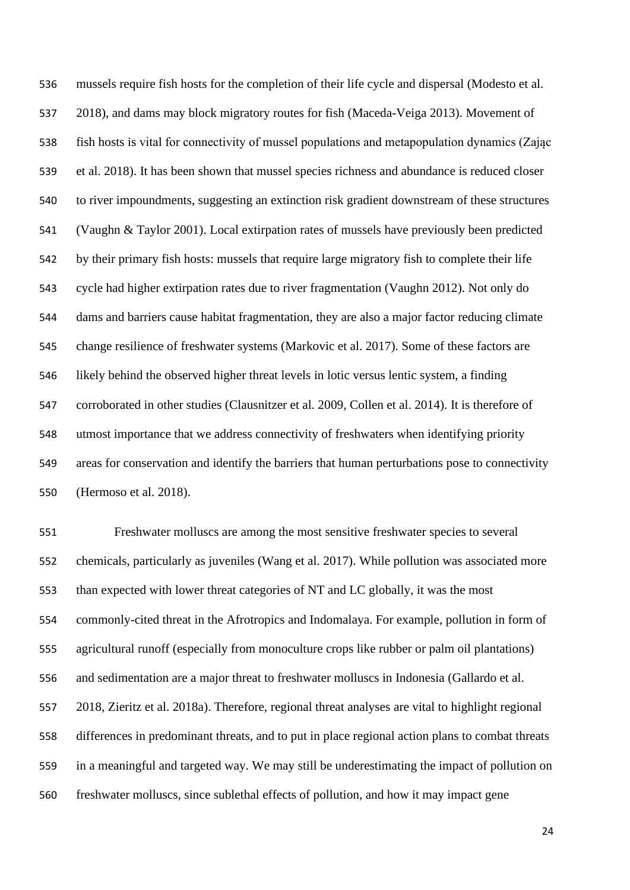mussels require fish hosts for the completion of their life cycle and dispersal (Modesto et al. 2018), and dams may block migratory routes for fish (Maceda-Veiga 2013). Movement of fish hosts is vital for connectivity of mussel populations and metapopulation dynamics (Zając et al. 2018). It has been shown that mussel species richness and abundance is reduced closer to river impoundments, suggesting an extinction risk gradient downstream of these structures (Vaughn & Taylor 2001). Local extirpation rates of mussels have previously been predicted by their primary fish hosts: mussels that require large migratory fish to complete their life cycle had higher extirpation rates due to river fragmentation (Vaughn 2012). Not only do dams and barriers cause habitat fragmentation, they are also a major factor reducing climate change resilience of freshwater systems (Markovic et al. 2017). Some of these factors are likely behind the observed higher threat levels in lotic versus lentic system, a finding corroborated in other studies (Clausnitzer et al. 2009, Collen et al. 2014). It is therefore of utmost importance that we address connectivity of freshwaters when identifying priority areas for conservation and identify the barriers that human perturbations pose to connectivity (Hermoso et al. 2018).

 Freshwater molluscs are among the most sensitive freshwater species to several chemicals, particularly as juveniles (Wang et al. 2017). While pollution was associated more than expected with lower threat categories of NT and LC globally, it was the most commonly-cited threat in the Afrotropics and Indomalaya. For example, pollution in form of agricultural runoff (especially from monoculture crops like rubber or palm oil plantations) and sedimentation are a major threat to freshwater molluscs in Indonesia (Gallardo et al. 2018, Zieritz et al. 2018a). Therefore, regional threat analyses are vital to highlight regional differences in predominant threats, and to put in place regional action plans to combat threats in a meaningful and targeted way. We may still be underestimating the impact of pollution on freshwater molluscs, since sublethal effects of pollution, and how it may impact gene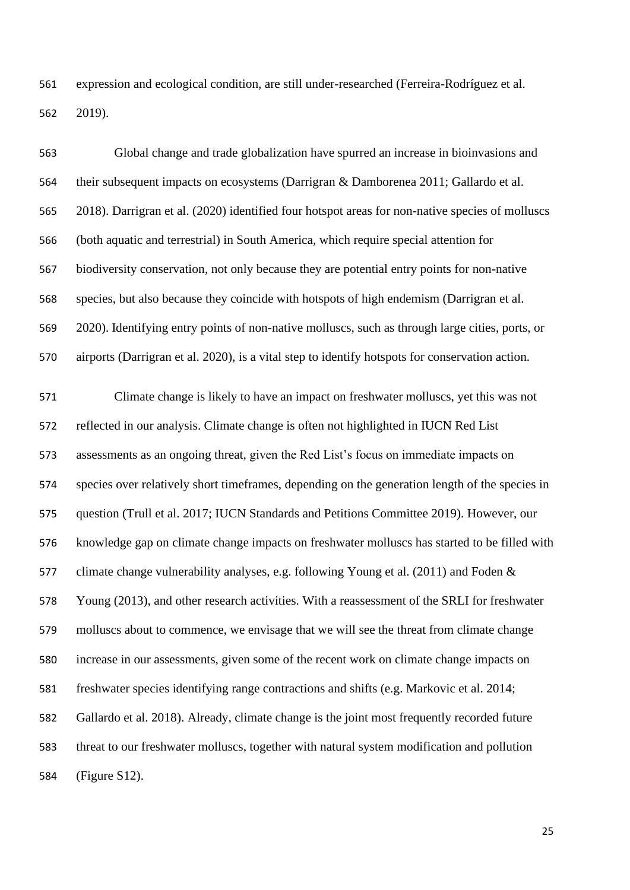expression and ecological condition, are still under-researched (Ferreira-Rodríguez et al. 2019).

 Global change and trade globalization have spurred an increase in bioinvasions and their subsequent impacts on ecosystems (Darrigran & Damborenea 2011; Gallardo et al. 2018). Darrigran et al. (2020) identified four hotspot areas for non-native species of molluscs (both aquatic and terrestrial) in South America, which require special attention for biodiversity conservation, not only because they are potential entry points for non-native species, but also because they coincide with hotspots of high endemism (Darrigran et al. 2020). Identifying entry points of non-native molluscs, such as through large cities, ports, or airports (Darrigran et al. 2020), is a vital step to identify hotspots for conservation action. Climate change is likely to have an impact on freshwater molluscs, yet this was not reflected in our analysis. Climate change is often not highlighted in IUCN Red List

 assessments as an ongoing threat, given the Red List's focus on immediate impacts on species over relatively short timeframes, depending on the generation length of the species in question (Trull et al. 2017; IUCN Standards and Petitions Committee 2019). However, our knowledge gap on climate change impacts on freshwater molluscs has started to be filled with climate change vulnerability analyses, e.g. following Young et al. (2011) and Foden & Young (2013), and other research activities. With a reassessment of the SRLI for freshwater molluscs about to commence, we envisage that we will see the threat from climate change increase in our assessments, given some of the recent work on climate change impacts on freshwater species identifying range contractions and shifts (e.g. Markovic et al. 2014; Gallardo et al. 2018). Already, climate change is the joint most frequently recorded future threat to our freshwater molluscs, together with natural system modification and pollution (Figure S12).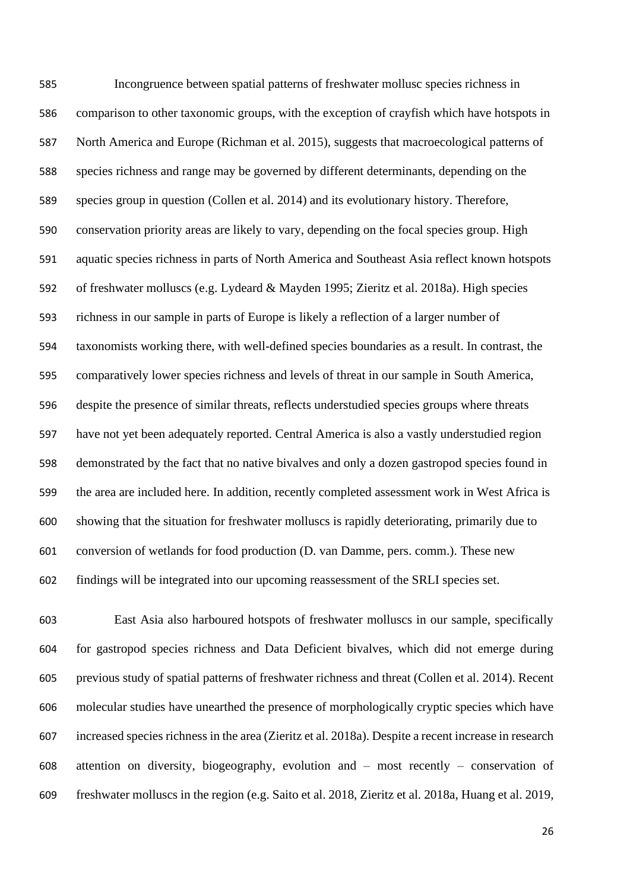Incongruence between spatial patterns of freshwater mollusc species richness in comparison to other taxonomic groups, with the exception of crayfish which have hotspots in North America and Europe (Richman et al. 2015), suggests that macroecological patterns of species richness and range may be governed by different determinants, depending on the species group in question (Collen et al. 2014) and its evolutionary history. Therefore, conservation priority areas are likely to vary, depending on the focal species group. High aquatic species richness in parts of North America and Southeast Asia reflect known hotspots of freshwater molluscs (e.g. Lydeard & Mayden 1995; Zieritz et al. 2018a). High species richness in our sample in parts of Europe is likely a reflection of a larger number of taxonomists working there, with well-defined species boundaries as a result. In contrast, the comparatively lower species richness and levels of threat in our sample in South America, despite the presence of similar threats, reflects understudied species groups where threats have not yet been adequately reported. Central America is also a vastly understudied region demonstrated by the fact that no native bivalves and only a dozen gastropod species found in the area are included here. In addition, recently completed assessment work in West Africa is showing that the situation for freshwater molluscs is rapidly deteriorating, primarily due to conversion of wetlands for food production (D. van Damme, pers. comm.). These new findings will be integrated into our upcoming reassessment of the SRLI species set.

 East Asia also harboured hotspots of freshwater molluscs in our sample, specifically for gastropod species richness and Data Deficient bivalves, which did not emerge during previous study of spatial patterns of freshwater richness and threat (Collen et al. 2014). Recent molecular studies have unearthed the presence of morphologically cryptic species which have increased species richness in the area (Zieritz et al. 2018a). Despite a recent increase in research attention on diversity, biogeography, evolution and – most recently – conservation of freshwater molluscs in the region (e.g. Saito et al. 2018, Zieritz et al. 2018a, Huang et al. 2019,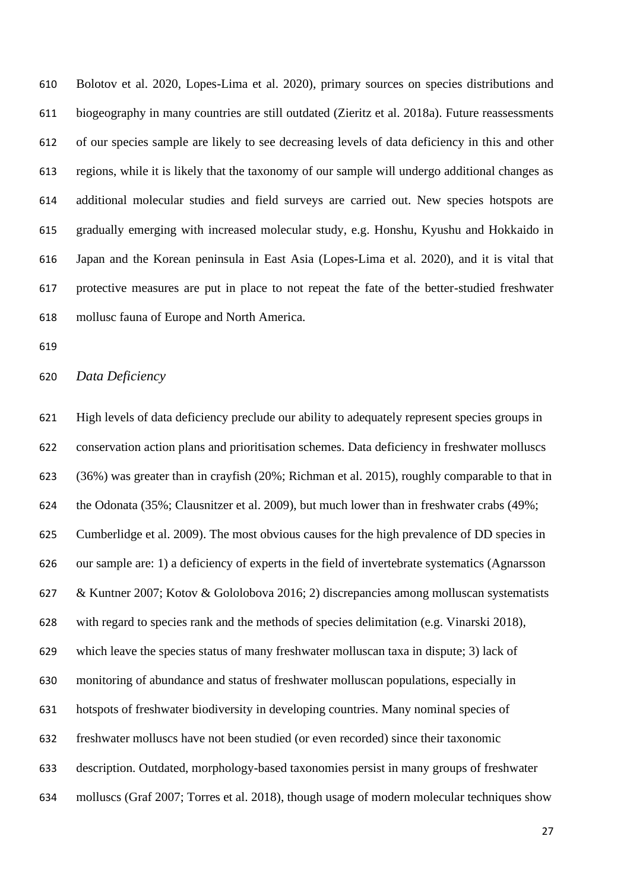Bolotov et al. 2020, Lopes-Lima et al. 2020), primary sources on species distributions and biogeography in many countries are still outdated (Zieritz et al. 2018a). Future reassessments of our species sample are likely to see decreasing levels of data deficiency in this and other regions, while it is likely that the taxonomy of our sample will undergo additional changes as additional molecular studies and field surveys are carried out. New species hotspots are gradually emerging with increased molecular study, e.g. Honshu, Kyushu and Hokkaido in Japan and the Korean peninsula in East Asia (Lopes-Lima et al. 2020), and it is vital that protective measures are put in place to not repeat the fate of the better-studied freshwater mollusc fauna of Europe and North America.

#### *Data Deficiency*

 High levels of data deficiency preclude our ability to adequately represent species groups in conservation action plans and prioritisation schemes. Data deficiency in freshwater molluscs (36%) was greater than in crayfish (20%; Richman et al. 2015), roughly comparable to that in the Odonata (35%; Clausnitzer et al. 2009), but much lower than in freshwater crabs (49%; Cumberlidge et al. 2009). The most obvious causes for the high prevalence of DD species in our sample are: 1) a deficiency of experts in the field of invertebrate systematics (Agnarsson & Kuntner 2007; Kotov & Gololobova 2016; 2) discrepancies among molluscan systematists with regard to species rank and the methods of species delimitation (e.g. Vinarski 2018), which leave the species status of many freshwater molluscan taxa in dispute; 3) lack of monitoring of abundance and status of freshwater molluscan populations, especially in hotspots of freshwater biodiversity in developing countries. Many nominal species of freshwater molluscs have not been studied (or even recorded) since their taxonomic description. Outdated, morphology-based taxonomies persist in many groups of freshwater molluscs (Graf 2007; Torres et al. 2018), though usage of modern molecular techniques show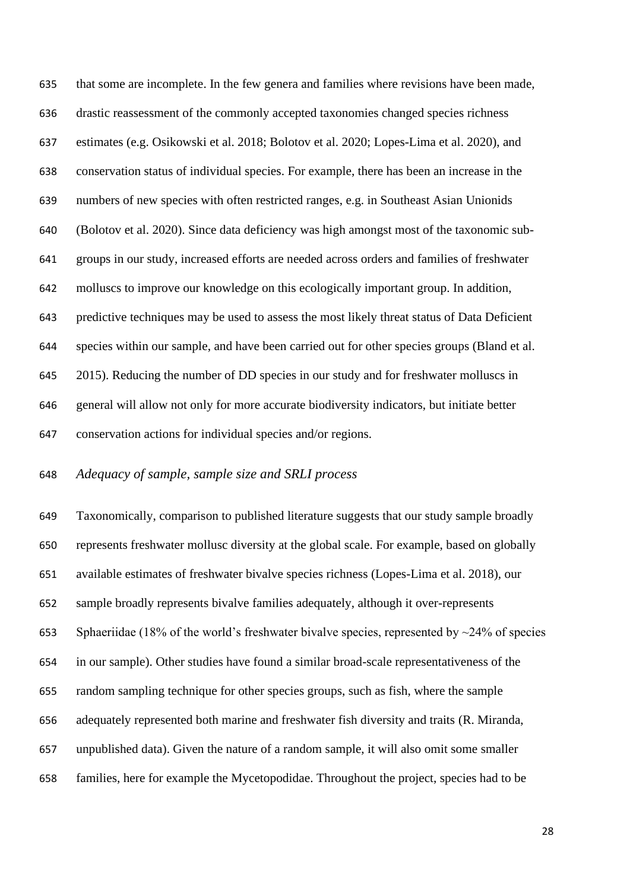that some are incomplete. In the few genera and families where revisions have been made, drastic reassessment of the commonly accepted taxonomies changed species richness estimates (e.g. Osikowski et al. 2018; Bolotov et al. 2020; Lopes-Lima et al. 2020), and conservation status of individual species. For example, there has been an increase in the numbers of new species with often restricted ranges, e.g. in Southeast Asian Unionids (Bolotov et al. 2020). Since data deficiency was high amongst most of the taxonomic sub- groups in our study, increased efforts are needed across orders and families of freshwater molluscs to improve our knowledge on this ecologically important group. In addition, predictive techniques may be used to assess the most likely threat status of Data Deficient species within our sample, and have been carried out for other species groups (Bland et al. 2015). Reducing the number of DD species in our study and for freshwater molluscs in general will allow not only for more accurate biodiversity indicators, but initiate better conservation actions for individual species and/or regions.

# *Adequacy of sample, sample size and SRLI process*

 Taxonomically, comparison to published literature suggests that our study sample broadly represents freshwater mollusc diversity at the global scale. For example, based on globally available estimates of freshwater bivalve species richness (Lopes-Lima et al. 2018), our sample broadly represents bivalve families adequately, although it over-represents 653 Sphaeriidae (18% of the world's freshwater bivalve species, represented by  $\sim$ 24% of species in our sample). Other studies have found a similar broad-scale representativeness of the random sampling technique for other species groups, such as fish, where the sample adequately represented both marine and freshwater fish diversity and traits (R. Miranda, unpublished data). Given the nature of a random sample, it will also omit some smaller families, here for example the Mycetopodidae. Throughout the project, species had to be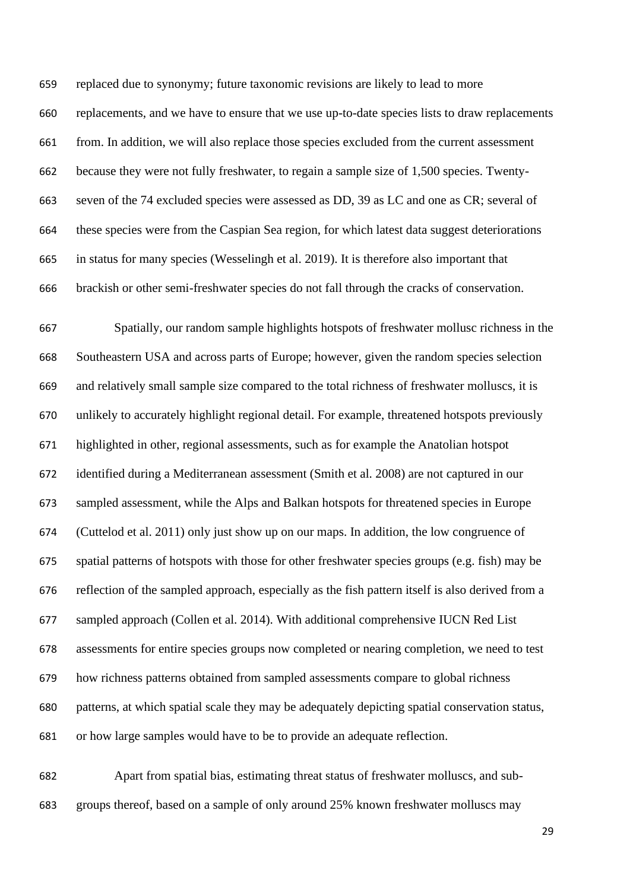replaced due to synonymy; future taxonomic revisions are likely to lead to more replacements, and we have to ensure that we use up-to-date species lists to draw replacements from. In addition, we will also replace those species excluded from the current assessment because they were not fully freshwater, to regain a sample size of 1,500 species. Twenty- seven of the 74 excluded species were assessed as DD, 39 as LC and one as CR; several of these species were from the Caspian Sea region, for which latest data suggest deteriorations in status for many species (Wesselingh et al. 2019). It is therefore also important that brackish or other semi-freshwater species do not fall through the cracks of conservation.

 Spatially, our random sample highlights hotspots of freshwater mollusc richness in the Southeastern USA and across parts of Europe; however, given the random species selection and relatively small sample size compared to the total richness of freshwater molluscs, it is unlikely to accurately highlight regional detail. For example, threatened hotspots previously highlighted in other, regional assessments, such as for example the Anatolian hotspot identified during a Mediterranean assessment (Smith et al. 2008) are not captured in our sampled assessment, while the Alps and Balkan hotspots for threatened species in Europe (Cuttelod et al. 2011) only just show up on our maps. In addition, the low congruence of spatial patterns of hotspots with those for other freshwater species groups (e.g. fish) may be reflection of the sampled approach, especially as the fish pattern itself is also derived from a sampled approach (Collen et al. 2014). With additional comprehensive IUCN Red List assessments for entire species groups now completed or nearing completion, we need to test how richness patterns obtained from sampled assessments compare to global richness patterns, at which spatial scale they may be adequately depicting spatial conservation status, or how large samples would have to be to provide an adequate reflection.

 Apart from spatial bias, estimating threat status of freshwater molluscs, and sub-groups thereof, based on a sample of only around 25% known freshwater molluscs may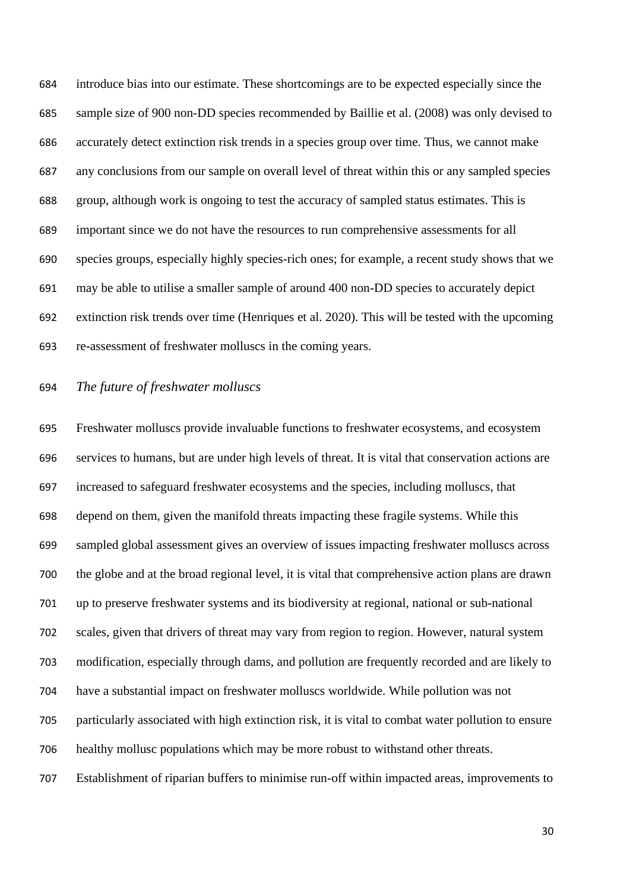introduce bias into our estimate. These shortcomings are to be expected especially since the sample size of 900 non-DD species recommended by Baillie et al. (2008) was only devised to accurately detect extinction risk trends in a species group over time. Thus, we cannot make any conclusions from our sample on overall level of threat within this or any sampled species group, although work is ongoing to test the accuracy of sampled status estimates. This is important since we do not have the resources to run comprehensive assessments for all species groups, especially highly species-rich ones; for example, a recent study shows that we may be able to utilise a smaller sample of around 400 non-DD species to accurately depict extinction risk trends over time (Henriques et al. 2020). This will be tested with the upcoming re-assessment of freshwater molluscs in the coming years.

## *The future of freshwater molluscs*

 Freshwater molluscs provide invaluable functions to freshwater ecosystems, and ecosystem services to humans, but are under high levels of threat. It is vital that conservation actions are increased to safeguard freshwater ecosystems and the species, including molluscs, that depend on them, given the manifold threats impacting these fragile systems. While this sampled global assessment gives an overview of issues impacting freshwater molluscs across the globe and at the broad regional level, it is vital that comprehensive action plans are drawn up to preserve freshwater systems and its biodiversity at regional, national or sub-national scales, given that drivers of threat may vary from region to region. However, natural system modification, especially through dams, and pollution are frequently recorded and are likely to have a substantial impact on freshwater molluscs worldwide. While pollution was not particularly associated with high extinction risk, it is vital to combat water pollution to ensure healthy mollusc populations which may be more robust to withstand other threats. Establishment of riparian buffers to minimise run-off within impacted areas, improvements to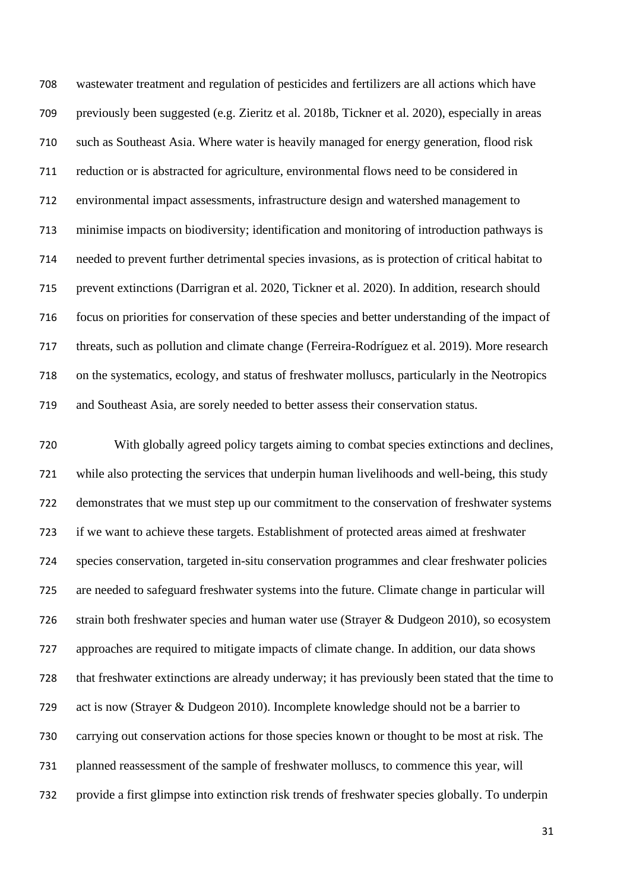wastewater treatment and regulation of pesticides and fertilizers are all actions which have previously been suggested (e.g. Zieritz et al. 2018b, Tickner et al. 2020), especially in areas such as Southeast Asia. Where water is heavily managed for energy generation, flood risk reduction or is abstracted for agriculture, environmental flows need to be considered in environmental impact assessments, infrastructure design and watershed management to minimise impacts on biodiversity; identification and monitoring of introduction pathways is needed to prevent further detrimental species invasions, as is protection of critical habitat to prevent extinctions (Darrigran et al. 2020, Tickner et al. 2020). In addition, research should focus on priorities for conservation of these species and better understanding of the impact of threats, such as pollution and climate change (Ferreira-Rodríguez et al. 2019). More research on the systematics, ecology, and status of freshwater molluscs, particularly in the Neotropics and Southeast Asia, are sorely needed to better assess their conservation status.

 With globally agreed policy targets aiming to combat species extinctions and declines, while also protecting the services that underpin human livelihoods and well-being, this study demonstrates that we must step up our commitment to the conservation of freshwater systems if we want to achieve these targets. Establishment of protected areas aimed at freshwater species conservation, targeted in-situ conservation programmes and clear freshwater policies are needed to safeguard freshwater systems into the future. Climate change in particular will strain both freshwater species and human water use (Strayer & Dudgeon 2010), so ecosystem approaches are required to mitigate impacts of climate change. In addition, our data shows that freshwater extinctions are already underway; it has previously been stated that the time to act is now (Strayer & Dudgeon 2010). Incomplete knowledge should not be a barrier to carrying out conservation actions for those species known or thought to be most at risk. The planned reassessment of the sample of freshwater molluscs, to commence this year, will provide a first glimpse into extinction risk trends of freshwater species globally. To underpin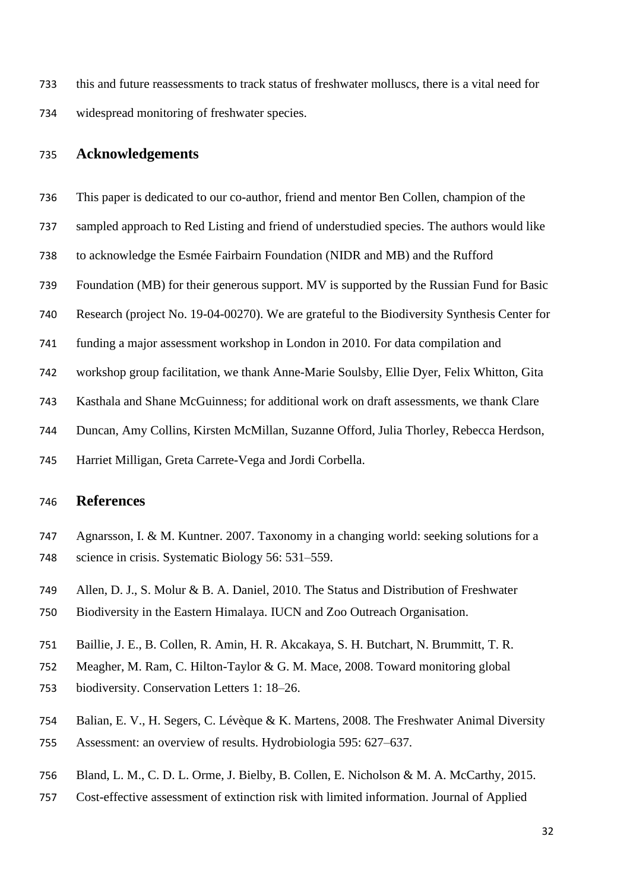this and future reassessments to track status of freshwater molluscs, there is a vital need for widespread monitoring of freshwater species.

# **Acknowledgements**

- This paper is dedicated to our co-author, friend and mentor Ben Collen, champion of the
- sampled approach to Red Listing and friend of understudied species. The authors would like
- to acknowledge the Esmée Fairbairn Foundation (NIDR and MB) and the Rufford
- Foundation (MB) for their generous support. MV is supported by the Russian Fund for Basic
- Research (project No. 19-04-00270). We are grateful to the Biodiversity Synthesis Center for
- funding a major assessment workshop in London in 2010. For data compilation and
- workshop group facilitation, we thank Anne-Marie Soulsby, Ellie Dyer, Felix Whitton, Gita
- Kasthala and Shane McGuinness; for additional work on draft assessments, we thank Clare
- Duncan, Amy Collins, Kirsten McMillan, Suzanne Offord, Julia Thorley, Rebecca Herdson,
- Harriet Milligan, Greta Carrete-Vega and Jordi Corbella.

### **References**

- Agnarsson, I. & M. Kuntner. 2007. Taxonomy in a changing world: seeking solutions for a science in crisis. Systematic Biology 56: 531–559.
- Allen, D. J., S. Molur & B. A. Daniel, 2010. The Status and Distribution of Freshwater
- Biodiversity in the Eastern Himalaya. IUCN and Zoo Outreach Organisation.
- Baillie, J. E., B. Collen, R. Amin, H. R. Akcakaya, S. H. Butchart, N. Brummitt, T. R.
- Meagher, M. Ram, C. Hilton-Taylor & G. M. Mace, 2008. Toward monitoring global
- biodiversity. Conservation Letters 1: 18–26.
- Balian, E. V., H. Segers, C. Lévèque & K. Martens, 2008. The Freshwater Animal Diversity
- Assessment: an overview of results. Hydrobiologia 595: 627–637.
- Bland, L. M., C. D. L. Orme, J. Bielby, B. Collen, E. Nicholson & M. A. McCarthy, 2015.
- Cost-effective assessment of extinction risk with limited information. Journal of Applied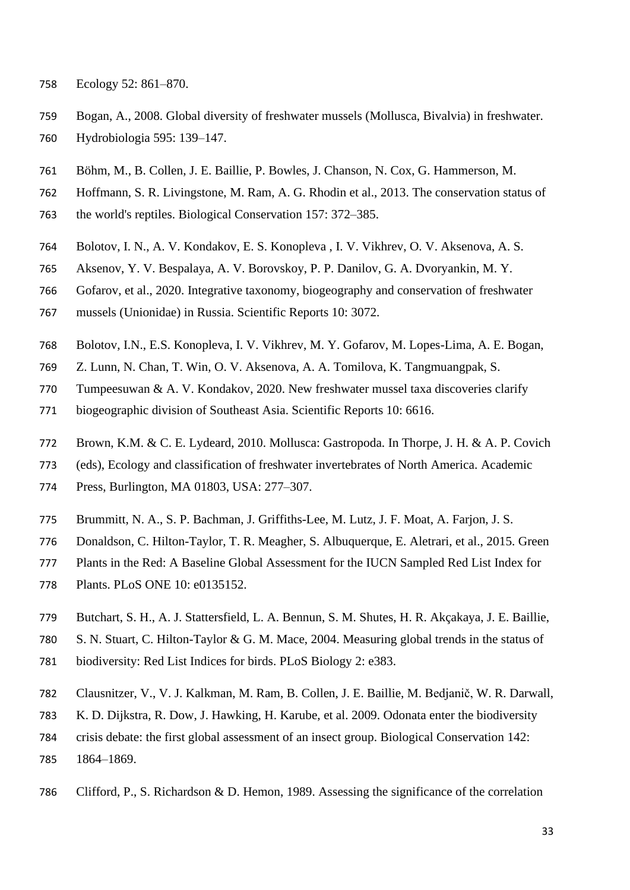- Ecology 52: 861–870.
- Bogan, A., 2008. Global diversity of freshwater mussels (Mollusca, Bivalvia) in freshwater. Hydrobiologia 595: 139–147.
- Böhm, M., B. Collen, J. E. Baillie, P. Bowles, J. Chanson, N. Cox, G. Hammerson, M.
- Hoffmann, S. R. Livingstone, M. Ram, A. G. Rhodin et al., 2013. The conservation status of
- the world's reptiles. Biological Conservation 157: 372–385.
- Bolotov, I. N., A. V. Kondakov, E. S. Konopleva , I. V. Vikhrev, O. V. Aksenova, A. S.
- Aksenov, Y. V. Bespalaya, A. V. Borovskoy, P. P. Danilov, G. A. Dvoryankin, M. Y.
- Gofarov, et al., 2020. Integrative taxonomy, biogeography and conservation of freshwater
- mussels (Unionidae) in Russia. Scientific Reports 10: 3072.
- Bolotov, I.N., E.S. Konopleva, I. V. Vikhrev, M. Y. Gofarov, M. Lopes-Lima, A. E. Bogan,
- Z. Lunn, N. Chan, T. Win, O. V. Aksenova, A. A. Tomilova, K. Tangmuangpak, S.
- Tumpeesuwan & A. V. Kondakov, 2020. New freshwater mussel taxa discoveries clarify
- biogeographic division of Southeast Asia. Scientific Reports 10: 6616.
- Brown, K.M. & C. E. Lydeard, 2010. Mollusca: Gastropoda. In Thorpe, J. H. & A. P. Covich
- (eds), Ecology and classification of freshwater invertebrates of North America. Academic
- Press, Burlington, MA 01803, USA: 277–307.
- Brummitt, N. A., S. P. Bachman, J. Griffiths-Lee, M. Lutz, J. F. Moat, A. Farjon, J. S.
- Donaldson, C. Hilton-Taylor, T. R. Meagher, S. Albuquerque, E. Aletrari, et al., 2015. Green
- Plants in the Red: A Baseline Global Assessment for the IUCN Sampled Red List Index for
- Plants. PLoS ONE 10: e0135152.
- Butchart, S. H., A. J. Stattersfield, L. A. Bennun, S. M. Shutes, H. R. Akçakaya, J. E. Baillie,
- S. N. Stuart, C. Hilton-Taylor & G. M. Mace, 2004. Measuring global trends in the status of
- biodiversity: Red List Indices for birds. PLoS Biology 2: e383.
- Clausnitzer, V., V. J. Kalkman, M. Ram, B. Collen, J. E. Baillie, M. Bedjanič, W. R. Darwall,
- K. D. Dijkstra, R. Dow, J. Hawking, H. Karube, et al. 2009. Odonata enter the biodiversity
- crisis debate: the first global assessment of an insect group. Biological Conservation 142:
- 1864–1869.
- Clifford, P., S. Richardson & D. Hemon, 1989. Assessing the significance of the correlation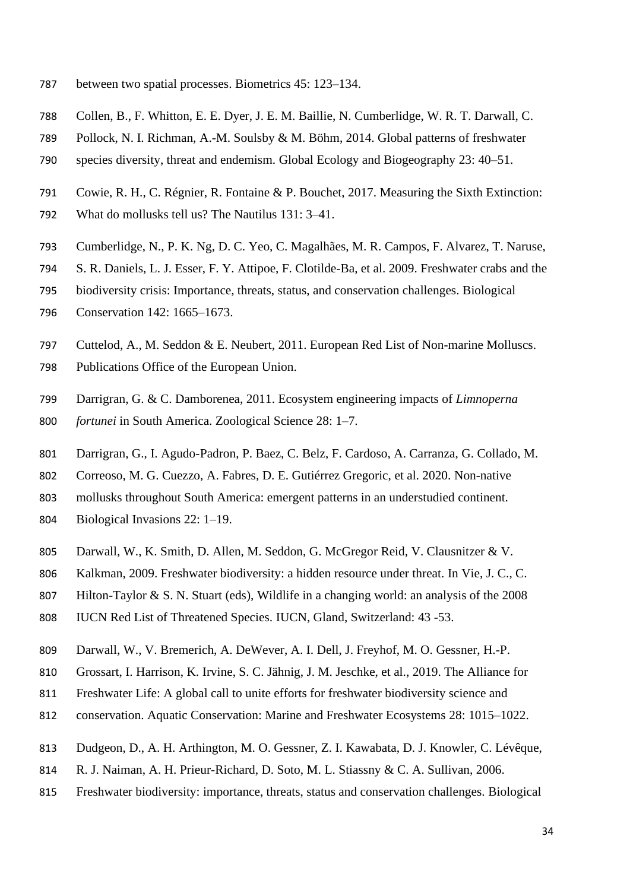- between two spatial processes. Biometrics 45: 123–134.
- Collen, B., F. Whitton, E. E. Dyer, J. E. M. Baillie, N. Cumberlidge, W. R. T. Darwall, C.
- Pollock, N. I. Richman, A.-M. Soulsby & M. Böhm, 2014. Global patterns of freshwater
- species diversity, threat and endemism. Global Ecology and Biogeography 23: 40–51.
- Cowie, R. H., C. Régnier, R. Fontaine & P. Bouchet, 2017. Measuring the Sixth Extinction:
- What do mollusks tell us? The Nautilus 131: 3–41.
- Cumberlidge, N., P. K. Ng, D. C. Yeo, C. Magalhães, M. R. Campos, F. Alvarez, T. Naruse,
- S. R. Daniels, L. J. Esser, F. Y. Attipoe, F. Clotilde-Ba, et al. 2009. Freshwater crabs and the
- biodiversity crisis: Importance, threats, status, and conservation challenges. Biological
- Conservation 142: 1665–1673.
- Cuttelod, A., M. Seddon & E. Neubert, 2011. European Red List of Non-marine Molluscs. Publications Office of the European Union.
- Darrigran, G. & C. Damborenea, 2011. Ecosystem engineering impacts of *Limnoperna fortunei* in South America. Zoological Science 28: 1–7.
- Darrigran, G., I. Agudo-Padron, P. Baez, C. Belz, F. Cardoso, A. Carranza, G. Collado, M.
- Correoso, M. G. Cuezzo, A. Fabres, D. E. Gutiérrez Gregoric, et al. 2020. Non-native
- mollusks throughout South America: emergent patterns in an understudied continent.
- Biological Invasions 22: 1–19.
- Darwall, W., K. Smith, D. Allen, M. Seddon, G. McGregor Reid, V. Clausnitzer & V.
- Kalkman, 2009. Freshwater biodiversity: a hidden resource under threat. In Vie, J. C., C.
- Hilton-Taylor & S. N. Stuart (eds), Wildlife in a changing world: an analysis of the 2008
- IUCN Red List of Threatened Species. IUCN, Gland, Switzerland: 43 -53.
- Darwall, W., V. Bremerich, A. DeWever, A. I. Dell, J. Freyhof, M. O. Gessner, H.-P.
- Grossart, I. Harrison, K. Irvine, S. C. Jähnig, J. M. Jeschke, et al., 2019. The Alliance for
- Freshwater Life: A global call to unite efforts for freshwater biodiversity science and
- conservation. Aquatic Conservation: Marine and Freshwater Ecosystems 28: 1015–1022.
- Dudgeon, D., A. H. Arthington, M. O. Gessner, Z. I. Kawabata, D. J. Knowler, C. Lévêque,
- 814 R. J. Naiman, A. H. Prieur-Richard, D. Soto, M. L. Stiassny & C. A. Sullivan, 2006.
- Freshwater biodiversity: importance, threats, status and conservation challenges. Biological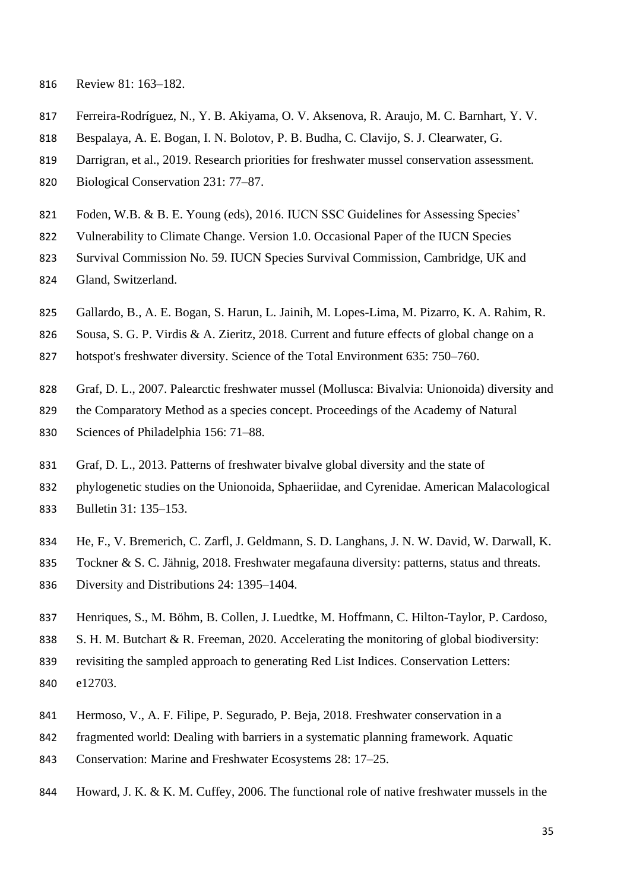- Review 81: 163–182.
- Ferreira-Rodríguez, N., Y. B. Akiyama, O. V. Aksenova, R. Araujo, M. C. Barnhart, Y. V.
- Bespalaya, A. E. Bogan, I. N. Bolotov, P. B. Budha, C. Clavijo, S. J. Clearwater, G.
- Darrigran, et al., 2019. Research priorities for freshwater mussel conservation assessment.
- Biological Conservation 231: 77–87.
- Foden, W.B. & B. E. Young (eds), 2016. IUCN SSC Guidelines for Assessing Species'
- Vulnerability to Climate Change. Version 1.0. Occasional Paper of the IUCN Species
- Survival Commission No. 59. IUCN Species Survival Commission, Cambridge, UK and
- Gland, Switzerland.
- Gallardo, B., A. E. Bogan, S. Harun, L. Jainih, M. Lopes-Lima, M. Pizarro, K. A. Rahim, R.
- Sousa, S. G. P. Virdis & A. Zieritz, 2018. Current and future effects of global change on a
- hotspot's freshwater diversity. Science of the Total Environment 635: 750–760.
- Graf, D. L., 2007. Palearctic freshwater mussel (Mollusca: Bivalvia: Unionoida) diversity and
- the Comparatory Method as a species concept. Proceedings of the Academy of Natural
- Sciences of Philadelphia 156: 71–88.
- Graf, D. L., 2013. Patterns of freshwater bivalve global diversity and the state of
- phylogenetic studies on the Unionoida, Sphaeriidae, and Cyrenidae. American Malacological
- Bulletin 31: 135–153.
- He, F., V. Bremerich, C. Zarfl, J. Geldmann, S. D. Langhans, J. N. W. David, W. Darwall, K.
- Tockner & S. C. Jähnig, 2018. Freshwater megafauna diversity: patterns, status and threats.
- Diversity and Distributions 24: 1395–1404.
- Henriques, S., M. Böhm, B. Collen, J. Luedtke, M. Hoffmann, C. Hilton-Taylor, P. Cardoso,
- S. H. M. Butchart & R. Freeman, 2020. Accelerating the monitoring of global biodiversity:
- revisiting the sampled approach to generating Red List Indices. Conservation Letters: e12703.
- Hermoso, V., A. F. Filipe, P. Segurado, P. Beja, 2018. Freshwater conservation in a
- fragmented world: Dealing with barriers in a systematic planning framework. Aquatic
- Conservation: Marine and Freshwater Ecosystems 28: 17–25.
- Howard, J. K. & K. M. Cuffey, 2006. The functional role of native freshwater mussels in the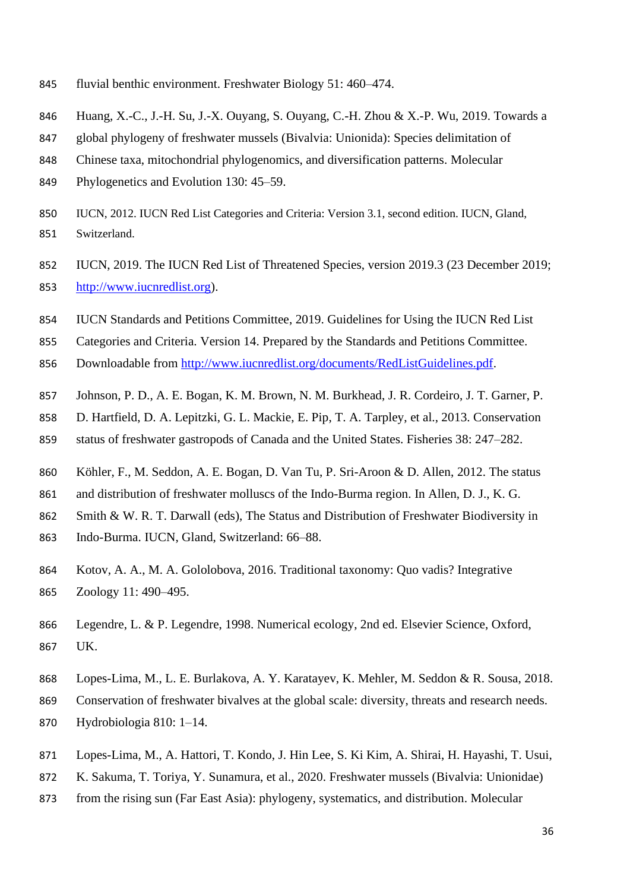- fluvial benthic environment. Freshwater Biology 51: 460–474.
- Huang, X.-C., J.-H. Su, J.-X. Ouyang, S. Ouyang, C.-H. Zhou & X.-P. Wu, 2019. Towards a
- global phylogeny of freshwater mussels (Bivalvia: Unionida): Species delimitation of
- Chinese taxa, mitochondrial phylogenomics, and diversification patterns. Molecular
- Phylogenetics and Evolution 130: 45–59.
- IUCN, 2012. IUCN Red List Categories and Criteria: Version 3.1, second edition. IUCN, Gland, Switzerland.
- IUCN, 2019. The IUCN Red List of Threatened Species, version 2019.3 (23 December 2019; [http://www.iucnredlist.org\)](http://www.iucnredlist.org/).
- IUCN Standards and Petitions Committee, 2019. Guidelines for Using the IUCN Red List
- Categories and Criteria. Version 14. Prepared by the Standards and Petitions Committee.
- Downloadable from [http://www.iucnredlist.org/documents/RedListGuidelines.pdf.](http://www.iucnredlist.org/documents/RedListGuidelines.pdf)
- Johnson, P. D., A. E. Bogan, K. M. Brown, N. M. Burkhead, J. R. Cordeiro, J. T. Garner, P.
- D. Hartfield, D. A. Lepitzki, G. L. Mackie, E. Pip, T. A. Tarpley, et al., 2013. Conservation
- status of freshwater gastropods of Canada and the United States. Fisheries 38: 247–282.
- Köhler, F., M. Seddon, A. E. Bogan, D. Van Tu, P. Sri-Aroon & D. Allen, 2012. The status
- 861 and distribution of freshwater molluscs of the Indo-Burma region. In Allen, D. J., K. G.
- Smith & W. R. T. Darwall (eds), The Status and Distribution of Freshwater Biodiversity in
- Indo-Burma. IUCN, Gland, Switzerland: 66–88.
- Kotov, A. A., M. A. Gololobova, 2016. Traditional taxonomy: Quo vadis? Integrative Zoology 11: 490–495.
- Legendre, L. & P. Legendre, 1998. Numerical ecology, 2nd ed. Elsevier Science, Oxford, UK.
- Lopes-Lima, M., L. E. Burlakova, A. Y. Karatayev, K. Mehler, M. Seddon & R. Sousa, 2018.
- Conservation of freshwater bivalves at the global scale: diversity, threats and research needs.
- Hydrobiologia 810: 1–14.
- Lopes-Lima, M., A. Hattori, T. Kondo, J. Hin Lee, S. Ki Kim, A. Shirai, H. Hayashi, T. Usui,
- K. Sakuma, T. Toriya, Y. Sunamura, et al., 2020. Freshwater mussels (Bivalvia: Unionidae)
- from the rising sun (Far East Asia): phylogeny, systematics, and distribution. Molecular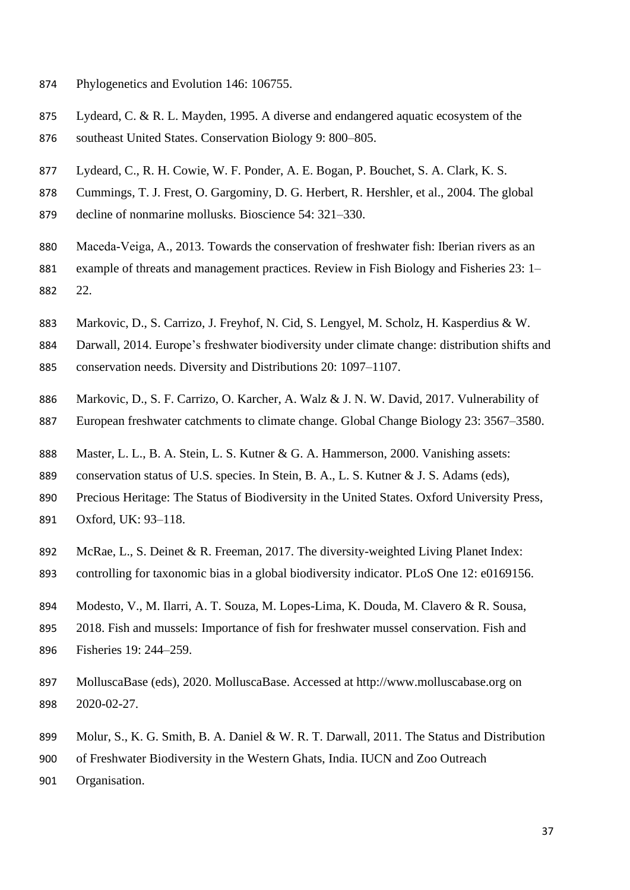- Phylogenetics and Evolution 146: 106755.
- Lydeard, C. & R. L. Mayden, 1995. A diverse and endangered aquatic ecosystem of the
- southeast United States. Conservation Biology 9: 800–805.
- Lydeard, C., R. H. Cowie, W. F. Ponder, A. E. Bogan, P. Bouchet, S. A. Clark, K. S.
- Cummings, T. J. Frest, O. Gargominy, D. G. Herbert, R. Hershler, et al., 2004. The global
- decline of nonmarine mollusks. Bioscience 54: 321–330.
- 880 Maceda-Veiga, A., 2013. Towards the conservation of freshwater fish: Iberian rivers as an example of threats and management practices. Review in Fish Biology and Fisheries 23: 1– 22.
- Markovic, D., S. Carrizo, J. Freyhof, N. Cid, S. Lengyel, M. Scholz, H. Kasperdius & W.
- Darwall, 2014. Europe's freshwater biodiversity under climate change: distribution shifts and
- conservation needs. Diversity and Distributions 20: 1097–1107.
- Markovic, D., S. F. Carrizo, O. Karcher, A. Walz & J. N. W. David, 2017. Vulnerability of
- European freshwater catchments to climate change. Global Change Biology 23: 3567–3580.
- Master, L. L., B. A. Stein, L. S. Kutner & G. A. Hammerson, 2000. Vanishing assets:
- 889 conservation status of U.S. species. In Stein, B. A., L. S. Kutner & J. S. Adams (eds),
- Precious Heritage: The Status of Biodiversity in the United States. Oxford University Press,
- Oxford, UK: 93–118.
- McRae, L., S. Deinet & R. Freeman, 2017. The diversity-weighted Living Planet Index:
- controlling for taxonomic bias in a global biodiversity indicator. PLoS One 12: e0169156.
- Modesto, V., M. Ilarri, A. T. Souza, M. Lopes-Lima, K. Douda, M. Clavero & R. Sousa,
- 2018. Fish and mussels: Importance of fish for freshwater mussel conservation. Fish and Fisheries 19: 244–259.
- MolluscaBase (eds), 2020. MolluscaBase. Accessed at http://www.molluscabase.org on 2020-02-27.
- 899 Molur, S., K. G. Smith, B. A. Daniel & W. R. T. Darwall, 2011. The Status and Distribution
- of Freshwater Biodiversity in the Western Ghats, India. IUCN and Zoo Outreach
- Organisation.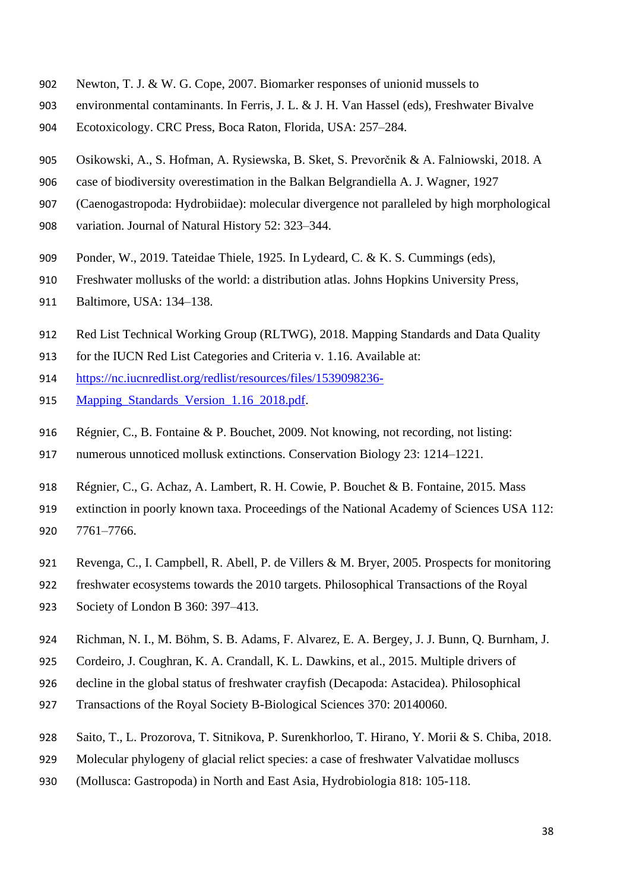- Newton, T. J. & W. G. Cope, 2007. Biomarker responses of unionid mussels to
- environmental contaminants. In Ferris, J. L. & J. H. Van Hassel (eds), Freshwater Bivalve
- Ecotoxicology. CRC Press, Boca Raton, Florida, USA: 257–284.
- Osikowski, A., S. Hofman, A. Rysiewska, B. Sket, S. Prevorčnik & A. Falniowski, 2018. A
- case of biodiversity overestimation in the Balkan Belgrandiella A. J. Wagner, 1927
- (Caenogastropoda: Hydrobiidae): molecular divergence not paralleled by high morphological
- variation. Journal of Natural History 52: 323–344.
- Ponder, W., 2019. Tateidae Thiele, 1925. In Lydeard, C. & K. S. Cummings (eds),
- Freshwater mollusks of the world: a distribution atlas. Johns Hopkins University Press,
- Baltimore, USA: 134–138.
- Red List Technical Working Group (RLTWG), 2018. Mapping Standards and Data Quality
- for the IUCN Red List Categories and Criteria v. 1.16. Available at:
- [https://nc.iucnredlist.org/redlist/resources/files/1539098236-](https://nc.iucnredlist.org/redlist/resources/files/1539098236-Mapping_Standards_Version_1.16_2018.pdf)
- 915 Mapping Standards Version 1.16 2018.pdf.
- Régnier, C., B. Fontaine & P. Bouchet, 2009. Not knowing, not recording, not listing:
- numerous unnoticed mollusk extinctions. Conservation Biology 23: 1214–1221.
- Régnier, C., G. Achaz, A. Lambert, R. H. Cowie, P. Bouchet & B. Fontaine, 2015. Mass
- extinction in poorly known taxa. Proceedings of the National Academy of Sciences USA 112: 7761–7766.
- Revenga, C., I. Campbell, R. Abell, P. de Villers & M. Bryer, 2005. Prospects for monitoring
- freshwater ecosystems towards the 2010 targets. Philosophical Transactions of the Royal
- Society of London B 360: 397–413.
- Richman, N. I., M. Böhm, S. B. Adams, F. Alvarez, E. A. Bergey, J. J. Bunn, Q. Burnham, J.
- Cordeiro, J. Coughran, K. A. Crandall, K. L. Dawkins, et al., 2015. Multiple drivers of
- decline in the global status of freshwater crayfish (Decapoda: Astacidea). Philosophical
- Transactions of the Royal Society B-Biological Sciences 370: 20140060.
- Saito, T., L. Prozorova, T. Sitnikova, P. Surenkhorloo, T. Hirano, Y. Morii & S. Chiba, 2018.
- Molecular phylogeny of glacial relict species: a case of freshwater Valvatidae molluscs
- (Mollusca: Gastropoda) in North and East Asia, Hydrobiologia 818: 105-118.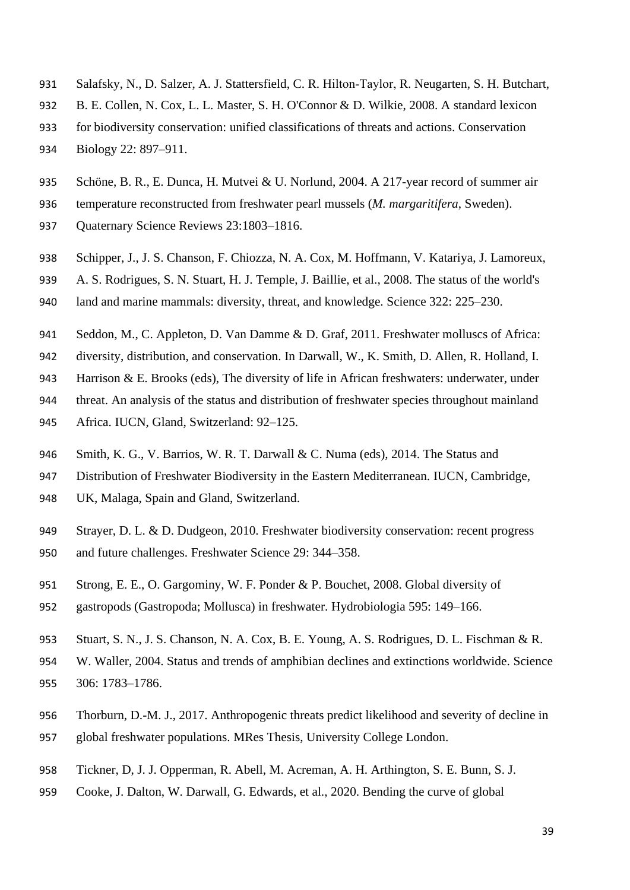- Salafsky, N., D. Salzer, A. J. Stattersfield, C. R. Hilton‐Taylor, R. Neugarten, S. H. Butchart,
- B. E. Collen, N. Cox, L. L. Master, S. H. O'Connor & D. Wilkie, 2008. A standard lexicon
- for biodiversity conservation: unified classifications of threats and actions. Conservation
- Biology 22: 897–911.
- Schöne, B. R., E. Dunca, H. Mutvei & U. Norlund, 2004. A 217-year record of summer air
- temperature reconstructed from freshwater pearl mussels (*M. margaritifera*, Sweden).
- Quaternary Science Reviews 23:1803–1816.
- Schipper, J., J. S. Chanson, F. Chiozza, N. A. Cox, M. Hoffmann, V. Katariya, J. Lamoreux,
- A. S. Rodrigues, S. N. Stuart, H. J. Temple, J. Baillie, et al., 2008. The status of the world's land and marine mammals: diversity, threat, and knowledge. Science 322: 225–230.
- Seddon, M., C. Appleton, D. Van Damme & D. Graf, 2011. Freshwater molluscs of Africa:
- diversity, distribution, and conservation. In Darwall, W., K. Smith, D. Allen, R. Holland, I.
- 943 Harrison  $&\,$  E. Brooks (eds), The diversity of life in African freshwaters: underwater, under
- threat. An analysis of the status and distribution of freshwater species throughout mainland
- Africa. IUCN, Gland, Switzerland: 92–125.
- Smith, K. G., V. Barrios, W. R. T. Darwall & C. Numa (eds), 2014. The Status and
- Distribution of Freshwater Biodiversity in the Eastern Mediterranean. IUCN, Cambridge,
- UK, Malaga, Spain and Gland, Switzerland.
- 949 Strayer, D. L. & D. Dudgeon, 2010. Freshwater biodiversity conservation: recent progress and future challenges. Freshwater Science 29: 344–358.
- Strong, E. E., O. Gargominy, W. F. Ponder & P. Bouchet, 2008. Global diversity of
- gastropods (Gastropoda; Mollusca) in freshwater. Hydrobiologia 595: 149–166.
- Stuart, S. N., J. S. Chanson, N. A. Cox, B. E. Young, A. S. Rodrigues, D. L. Fischman & R.
- W. Waller, 2004. Status and trends of amphibian declines and extinctions worldwide. Science 306: 1783–1786.
- Thorburn, D.-M. J., 2017. Anthropogenic threats predict likelihood and severity of decline in global freshwater populations. MRes Thesis, University College London.
- Tickner, D, J. J. Opperman, R. Abell, M. Acreman, A. H. Arthington, S. E. Bunn, S. J.
- Cooke, J. Dalton, W. Darwall, G. Edwards, et al., 2020. Bending the curve of global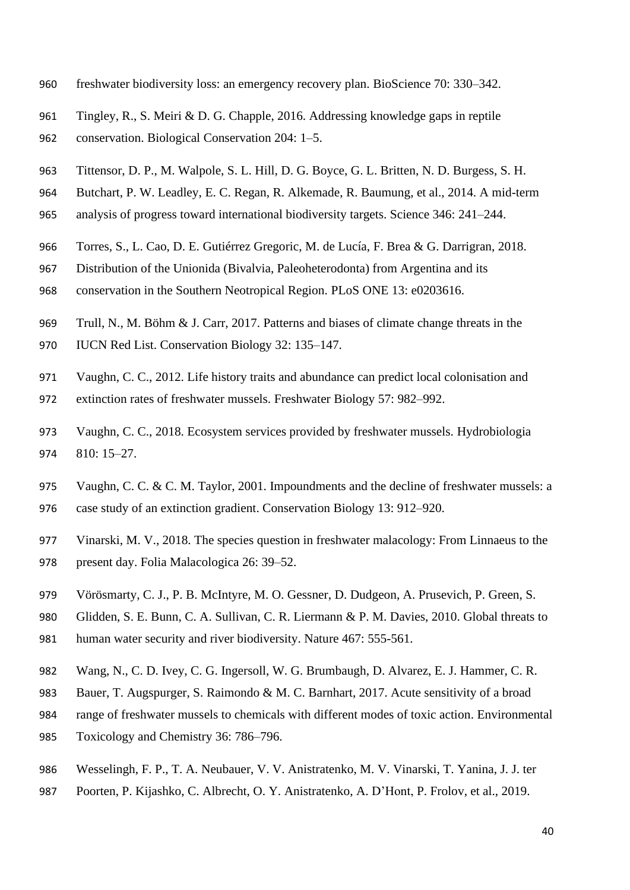- freshwater biodiversity loss: an emergency recovery plan. BioScience 70: 330–342.
- Tingley, R., S. Meiri & D. G. Chapple, 2016. Addressing knowledge gaps in reptile conservation. Biological Conservation 204: 1–5.
- Tittensor, D. P., M. Walpole, S. L. Hill, D. G. Boyce, G. L. Britten, N. D. Burgess, S. H.
- Butchart, P. W. Leadley, E. C. Regan, R. Alkemade, R. Baumung, et al., 2014. A mid-term
- analysis of progress toward international biodiversity targets. Science 346: 241–244.
- Torres, S., L. Cao, D. E. Gutiérrez Gregoric, M. de Lucía, F. Brea & G. Darrigran, 2018.
- Distribution of the Unionida (Bivalvia, Paleoheterodonta) from Argentina and its
- conservation in the Southern Neotropical Region. PLoS ONE 13: e0203616.
- Trull, N., M. Böhm & J. Carr, 2017. Patterns and biases of climate change threats in the
- IUCN Red List. Conservation Biology 32: 135–147.
- Vaughn, C. C., 2012. Life history traits and abundance can predict local colonisation and
- extinction rates of freshwater mussels. Freshwater Biology 57: 982–992.
- Vaughn, C. C., 2018. Ecosystem services provided by freshwater mussels. Hydrobiologia 810: 15–27.
- Vaughn, C. C. & C. M. Taylor, 2001. Impoundments and the decline of freshwater mussels: a case study of an extinction gradient. Conservation Biology 13: 912–920.
- Vinarski, M. V., 2018. The species question in freshwater malacology: From Linnaeus to the
- present day. Folia Malacologica 26: 39–52.
- Vörösmarty, C. J., P. B. McIntyre, M. O. Gessner, D. Dudgeon, A. Prusevich, P. Green, S.
- Glidden, S. E. Bunn, C. A. Sullivan, C. R. Liermann & P. M. Davies, 2010. Global threats to human water security and river biodiversity. Nature 467: 555-561.
- Wang, N., C. D. Ivey, C. G. Ingersoll, W. G. Brumbaugh, D. Alvarez, E. J. Hammer, C. R.
- Bauer, T. Augspurger, S. Raimondo & M. C. Barnhart, 2017. Acute sensitivity of a broad
- range of freshwater mussels to chemicals with different modes of toxic action. Environmental
- Toxicology and Chemistry 36: 786–796.
- Wesselingh, F. P., T. A. Neubauer, V. V. Anistratenko, M. V. Vinarski, T. Yanina, J. J. ter
- Poorten, P. Kijashko, C. Albrecht, O. Y. Anistratenko, A. D'Hont, P. Frolov, et al., 2019.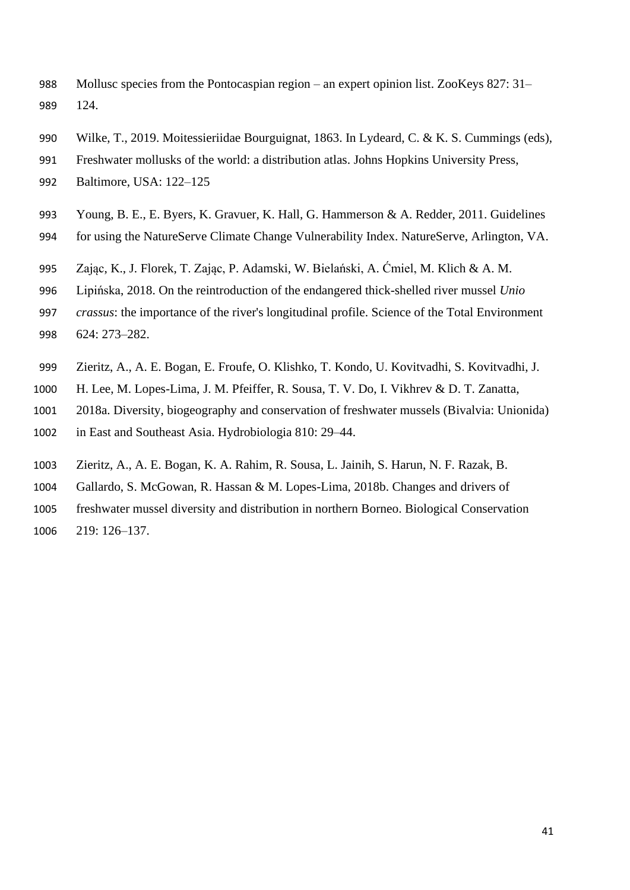- Mollusc species from the Pontocaspian region an expert opinion list. ZooKeys 827: 31– 124.
- Wilke, T., 2019. Moitessieriidae Bourguignat, 1863. In Lydeard, C. & K. S. Cummings (eds),
- Freshwater mollusks of the world: a distribution atlas. Johns Hopkins University Press,
- Baltimore, USA: 122–125
- Young, B. E., E. Byers, K. Gravuer, K. Hall, G. Hammerson & A. Redder, 2011. Guidelines for using the NatureServe Climate Change Vulnerability Index. NatureServe, Arlington, VA.
- 
- Zając, K., J. Florek, T. Zając, P. Adamski, W. Bielański, A. Ćmiel, M. Klich & A. M.
- Lipińska, 2018. On the reintroduction of the endangered thick-shelled river mussel *Unio*
- *crassus*: the importance of the river's longitudinal profile. Science of the Total Environment 624: 273–282.
- Zieritz, A., A. E. Bogan, E. Froufe, O. Klishko, T. Kondo, U. Kovitvadhi, S. Kovitvadhi, J.
- H. Lee, M. Lopes-Lima, J. M. Pfeiffer, R. Sousa, T. V. Do, I. Vikhrev & D. T. Zanatta,
- 2018a. Diversity, biogeography and conservation of freshwater mussels (Bivalvia: Unionida)
- in East and Southeast Asia. Hydrobiologia 810: 29–44.
- Zieritz, A., A. E. Bogan, K. A. Rahim, R. Sousa, L. Jainih, S. Harun, N. F. Razak, B.
- Gallardo, S. McGowan, R. Hassan & M. Lopes-Lima, 2018b. Changes and drivers of
- freshwater mussel diversity and distribution in northern Borneo. Biological Conservation
- 219: 126–137.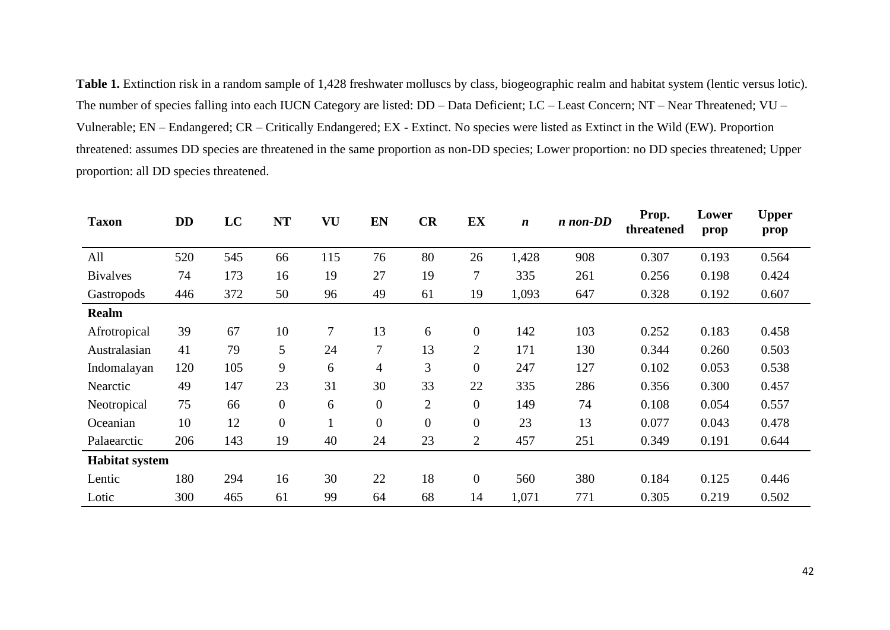**Table 1.** Extinction risk in a random sample of 1,428 freshwater molluscs by class, biogeographic realm and habitat system (lentic versus lotic). The number of species falling into each IUCN Category are listed: DD – Data Deficient; LC – Least Concern; NT – Near Threatened; VU – Vulnerable; EN – Endangered; CR – Critically Endangered; EX - Extinct. No species were listed as Extinct in the Wild (EW). Proportion threatened: assumes DD species are threatened in the same proportion as non-DD species; Lower proportion: no DD species threatened; Upper proportion: all DD species threatened.

| <b>Taxon</b>          | <b>DD</b> | LC  | <b>NT</b>        | VU       | EN               | CR               | EX               | $\boldsymbol{n}$ | $n$ non-DD | Prop.<br>threatened | Lower<br>prop | <b>Upper</b><br>prop |
|-----------------------|-----------|-----|------------------|----------|------------------|------------------|------------------|------------------|------------|---------------------|---------------|----------------------|
| All                   | 520       | 545 | 66               | 115      | 76               | 80               | 26               | 1,428            | 908        | 0.307               | 0.193         | 0.564                |
| <b>Bivalves</b>       | 74        | 173 | 16               | 19       | 27               | 19               | $\boldsymbol{7}$ | 335              | 261        | 0.256               | 0.198         | 0.424                |
| Gastropods            | 446       | 372 | 50               | 96       | 49               | 61               | 19               | 1,093            | 647        | 0.328               | 0.192         | 0.607                |
| <b>Realm</b>          |           |     |                  |          |                  |                  |                  |                  |            |                     |               |                      |
| Afrotropical          | 39        | 67  | 10               | 7        | 13               | 6                | $\boldsymbol{0}$ | 142              | 103        | 0.252               | 0.183         | 0.458                |
| Australasian          | 41        | 79  | 5                | 24       | 7                | 13               | $\overline{2}$   | 171              | 130        | 0.344               | 0.260         | 0.503                |
| Indomalayan           | 120       | 105 | 9                | 6        | $\overline{4}$   | 3                | $\boldsymbol{0}$ | 247              | 127        | 0.102               | 0.053         | 0.538                |
| Nearctic              | 49        | 147 | 23               | 31       | 30               | 33               | 22               | 335              | 286        | 0.356               | 0.300         | 0.457                |
| Neotropical           | 75        | 66  | $\boldsymbol{0}$ | 6        | $\boldsymbol{0}$ | $\overline{2}$   | $\overline{0}$   | 149              | 74         | 0.108               | 0.054         | 0.557                |
| Oceanian              | 10        | 12  | $\boldsymbol{0}$ | $\bf{I}$ | $\boldsymbol{0}$ | $\boldsymbol{0}$ | $\boldsymbol{0}$ | 23               | 13         | 0.077               | 0.043         | 0.478                |
| Palaearctic           | 206       | 143 | 19               | 40       | 24               | 23               | $\overline{2}$   | 457              | 251        | 0.349               | 0.191         | 0.644                |
| <b>Habitat system</b> |           |     |                  |          |                  |                  |                  |                  |            |                     |               |                      |
| Lentic                | 180       | 294 | 16               | 30       | 22               | 18               | $\boldsymbol{0}$ | 560              | 380        | 0.184               | 0.125         | 0.446                |
| Lotic                 | 300       | 465 | 61               | 99       | 64               | 68               | 14               | 1,071            | 771        | 0.305               | 0.219         | 0.502                |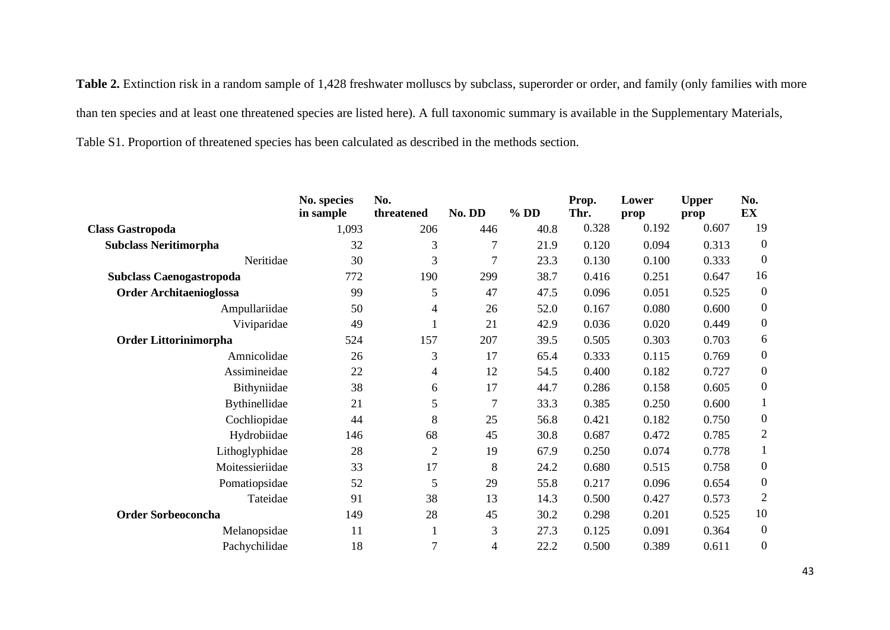Table 2. Extinction risk in a random sample of 1,428 freshwater molluscs by subclass, superorder or order, and family (only families with more than ten species and at least one threatened species are listed here). A full taxonomic summary is available in the Supplementary Materials, Table S1. Proportion of threatened species has been calculated as described in the methods section.

|                                 | No. species<br>in sample | No.<br>threatened        | No. DD           | $%$ DD | Prop.<br>Thr. | Lower<br>prop | <b>Upper</b><br>prop | No.<br><b>EX</b> |
|---------------------------------|--------------------------|--------------------------|------------------|--------|---------------|---------------|----------------------|------------------|
| <b>Class Gastropoda</b>         | 1,093                    | 206                      | 446              | 40.8   | 0.328         | 0.192         | 0.607                | 19               |
|                                 | 32                       |                          |                  |        |               |               |                      | $\overline{0}$   |
| <b>Subclass Neritimorpha</b>    |                          | 3                        | 7                | 21.9   | 0.120         | 0.094         | 0.313                |                  |
| Neritidae                       | 30                       | 3                        | 7                | 23.3   | 0.130         | 0.100         | 0.333                | $\boldsymbol{0}$ |
| <b>Subclass Caenogastropoda</b> | 772                      | 190                      | 299              | 38.7   | 0.416         | 0.251         | 0.647                | 16               |
| <b>Order Architaenioglossa</b>  | 99                       | 5                        | 47               | 47.5   | 0.096         | 0.051         | 0.525                | $\overline{0}$   |
| Ampullariidae                   | 50                       | 4                        | 26               | 52.0   | 0.167         | 0.080         | 0.600                | $\boldsymbol{0}$ |
| Viviparidae                     | 49                       |                          | 21               | 42.9   | 0.036         | 0.020         | 0.449                | $\boldsymbol{0}$ |
| <b>Order Littorinimorpha</b>    | 524                      | 157                      | 207              | 39.5   | 0.505         | 0.303         | 0.703                | 6                |
| Amnicolidae                     | 26                       | 3                        | 17               | 65.4   | 0.333         | 0.115         | 0.769                | $\boldsymbol{0}$ |
| Assimineidae                    | 22                       | $\overline{\mathcal{A}}$ | 12               | 54.5   | 0.400         | 0.182         | 0.727                | $\boldsymbol{0}$ |
| Bithyniidae                     | 38                       | 6                        | 17               | 44.7   | 0.286         | 0.158         | 0.605                | $\boldsymbol{0}$ |
| Bythinellidae                   | 21                       | 5                        | $\boldsymbol{7}$ | 33.3   | 0.385         | 0.250         | 0.600                |                  |
| Cochliopidae                    | 44                       | 8                        | 25               | 56.8   | 0.421         | 0.182         | 0.750                | $\boldsymbol{0}$ |
| Hydrobiidae                     | 146                      | 68                       | 45               | 30.8   | 0.687         | 0.472         | 0.785                | $\overline{2}$   |
| Lithoglyphidae                  | 28                       | $\overline{2}$           | 19               | 67.9   | 0.250         | 0.074         | 0.778                | 1                |
| Moitessieriidae                 | 33                       | 17                       | 8                | 24.2   | 0.680         | 0.515         | 0.758                | $\mathbf{0}$     |
| Pomatiopsidae                   | 52                       | 5                        | 29               | 55.8   | 0.217         | 0.096         | 0.654                | $\boldsymbol{0}$ |
| Tateidae                        | 91                       | 38                       | 13               | 14.3   | 0.500         | 0.427         | 0.573                | $\overline{2}$   |
| <b>Order Sorbeoconcha</b>       | 149                      | 28                       | 45               | 30.2   | 0.298         | 0.201         | 0.525                | 10               |
| Melanopsidae                    | 11                       |                          | 3                | 27.3   | 0.125         | 0.091         | 0.364                | $\boldsymbol{0}$ |
| Pachychilidae                   | 18                       | 7                        | 4                | 22.2   | 0.500         | 0.389         | 0.611                | $\boldsymbol{0}$ |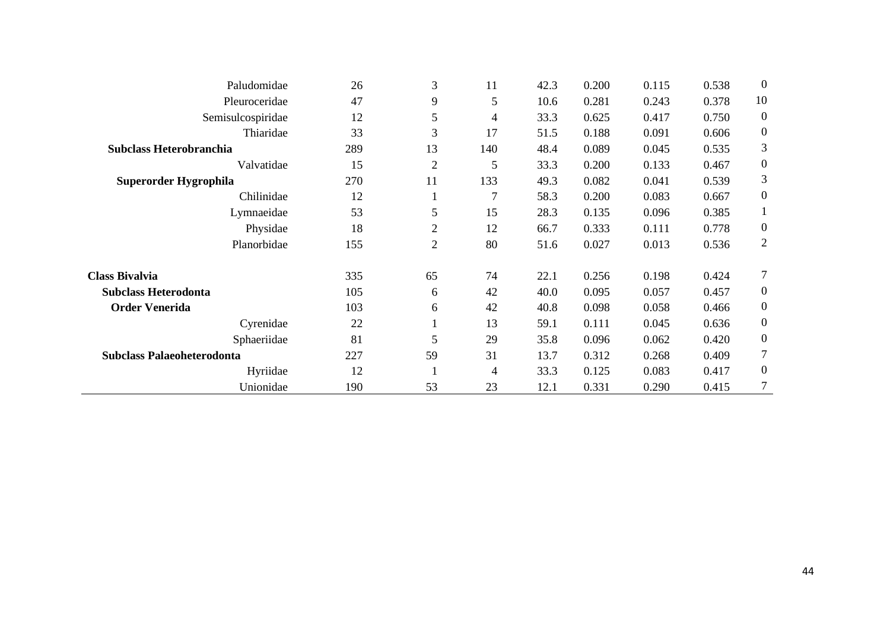| Paludomidae                       | 26  | 3              | 11             | 42.3 | 0.200 | 0.115 | 0.538 | $\boldsymbol{0}$ |
|-----------------------------------|-----|----------------|----------------|------|-------|-------|-------|------------------|
| Pleuroceridae                     | 47  | 9              | 5              | 10.6 | 0.281 | 0.243 | 0.378 | 10               |
| Semisulcospiridae                 | 12  | 5              | 4              | 33.3 | 0.625 | 0.417 | 0.750 | $\overline{0}$   |
| Thiaridae                         | 33  | 3              | 17             | 51.5 | 0.188 | 0.091 | 0.606 | $\boldsymbol{0}$ |
| Subclass Heterobranchia           | 289 | 13             | 140            | 48.4 | 0.089 | 0.045 | 0.535 | 3                |
| Valvatidae                        | 15  | $\overline{2}$ | 5              | 33.3 | 0.200 | 0.133 | 0.467 | $\boldsymbol{0}$ |
| Superorder Hygrophila             | 270 | 11             | 133            | 49.3 | 0.082 | 0.041 | 0.539 | 3                |
| Chilinidae                        | 12  | $\perp$        | $\overline{7}$ | 58.3 | 0.200 | 0.083 | 0.667 | $\boldsymbol{0}$ |
| Lymnaeidae                        | 53  | 5              | 15             | 28.3 | 0.135 | 0.096 | 0.385 | $\mathbf{1}$     |
| Physidae                          | 18  | $\overline{2}$ | 12             | 66.7 | 0.333 | 0.111 | 0.778 | $\boldsymbol{0}$ |
| Planorbidae                       | 155 | $\mathbf{2}$   | 80             | 51.6 | 0.027 | 0.013 | 0.536 | $\overline{2}$   |
| <b>Class Bivalvia</b>             | 335 | 65             | 74             | 22.1 | 0.256 | 0.198 | 0.424 | $\tau$           |
| <b>Subclass Heterodonta</b>       | 105 | 6              | 42             | 40.0 | 0.095 | 0.057 | 0.457 | $\boldsymbol{0}$ |
| <b>Order Venerida</b>             | 103 | 6              | 42             | 40.8 | 0.098 | 0.058 | 0.466 | $\boldsymbol{0}$ |
| Cyrenidae                         | 22  | $\mathbf{I}$   | 13             | 59.1 | 0.111 | 0.045 | 0.636 | $\boldsymbol{0}$ |
| Sphaeriidae                       | 81  | 5              | 29             | 35.8 | 0.096 | 0.062 | 0.420 | $\overline{0}$   |
| <b>Subclass Palaeoheterodonta</b> | 227 | 59             | 31             | 13.7 | 0.312 | 0.268 | 0.409 | $\tau$           |
| Hyriidae                          | 12  |                | 4              | 33.3 | 0.125 | 0.083 | 0.417 | $\mathbf{0}$     |
| Unionidae                         | 190 | 53             | 23             | 12.1 | 0.331 | 0.290 | 0.415 | 7                |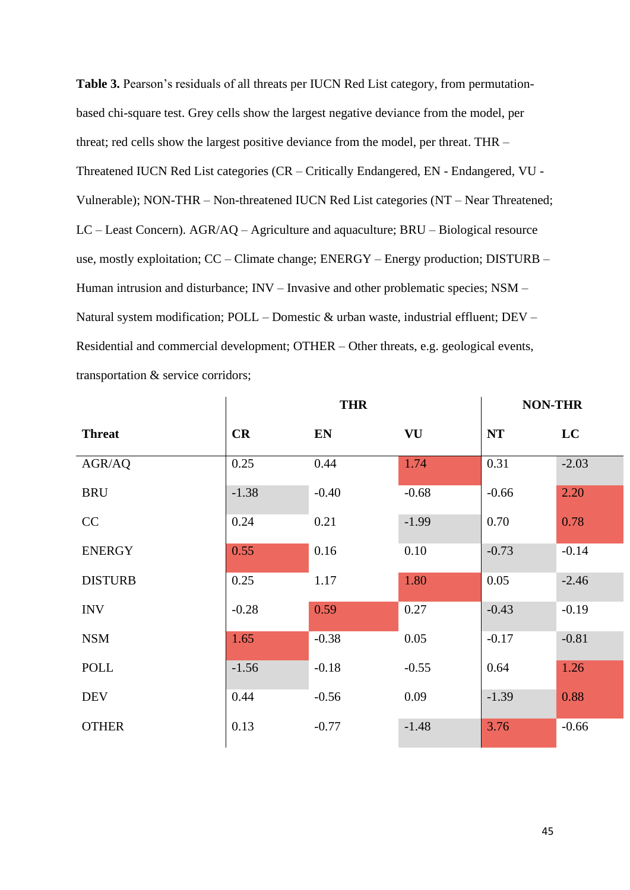**Table 3.** Pearson's residuals of all threats per IUCN Red List category, from permutationbased chi-square test. Grey cells show the largest negative deviance from the model, per threat; red cells show the largest positive deviance from the model, per threat. THR – Threatened IUCN Red List categories (CR – Critically Endangered, EN - Endangered, VU - Vulnerable); NON-THR – Non-threatened IUCN Red List categories (NT – Near Threatened; LC – Least Concern). AGR/AQ – Agriculture and aquaculture; BRU – Biological resource use, mostly exploitation; CC – Climate change; ENERGY – Energy production; DISTURB – Human intrusion and disturbance; INV – Invasive and other problematic species; NSM – Natural system modification; POLL – Domestic & urban waste, industrial effluent; DEV – Residential and commercial development; OTHER – Other threats, e.g. geological events, transportation & service corridors;

|                |         | <b>THR</b> |         | <b>NON-THR</b> |         |
|----------------|---------|------------|---------|----------------|---------|
| <b>Threat</b>  | CR      | EN         | VU      | <b>NT</b>      | LC      |
| AGR/AQ         | 0.25    | 0.44       | 1.74    | 0.31           | $-2.03$ |
| <b>BRU</b>     | $-1.38$ | $-0.40$    | $-0.68$ | $-0.66$        | 2.20    |
| CC             | 0.24    | 0.21       | $-1.99$ | 0.70           | 0.78    |
| <b>ENERGY</b>  | 0.55    | 0.16       | 0.10    | $-0.73$        | $-0.14$ |
| <b>DISTURB</b> | 0.25    | 1.17       | 1.80    | 0.05           | $-2.46$ |
| <b>INV</b>     | $-0.28$ | 0.59       | 0.27    | $-0.43$        | $-0.19$ |
| <b>NSM</b>     | 1.65    | $-0.38$    | 0.05    | $-0.17$        | $-0.81$ |
| <b>POLL</b>    | $-1.56$ | $-0.18$    | $-0.55$ | 0.64           | 1.26    |
| <b>DEV</b>     | 0.44    | $-0.56$    | 0.09    | $-1.39$        | 0.88    |
| <b>OTHER</b>   | 0.13    | $-0.77$    | $-1.48$ | 3.76           | $-0.66$ |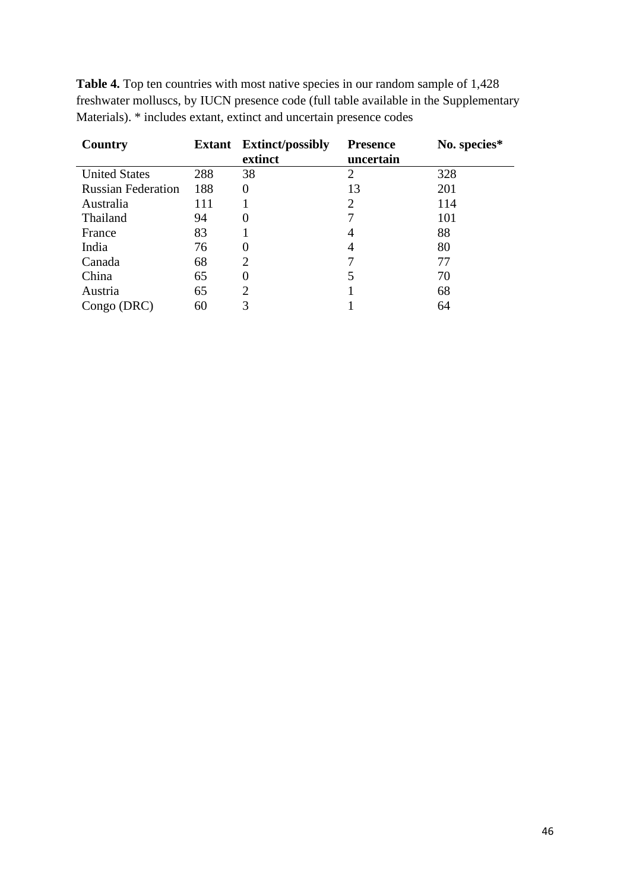| Country                   | <b>Extant</b> | <b>Extinct/possibly</b><br>extinct | <b>Presence</b><br>uncertain | No. species* |
|---------------------------|---------------|------------------------------------|------------------------------|--------------|
| <b>United States</b>      | 288           | 38                                 | 2                            | 328          |
| <b>Russian Federation</b> | 188           | 0                                  | 13                           | 201          |
| Australia                 | 111           |                                    | 2                            | 114          |
| Thailand                  | 94            |                                    | 7                            | 101          |
| France                    | 83            |                                    | 4                            | 88           |
| India                     | 76            | 0                                  | 4                            | 80           |
| Canada                    | 68            | 2                                  | 7                            | 77           |
| China                     | 65            | 0                                  |                              | 70           |
| Austria                   | 65            | 2                                  |                              | 68           |
| Congo (DRC)               | 60            | 3                                  |                              | 64           |

**Table 4.** Top ten countries with most native species in our random sample of 1,428 freshwater molluscs, by IUCN presence code (full table available in the Supplementary Materials). \* includes extant, extinct and uncertain presence codes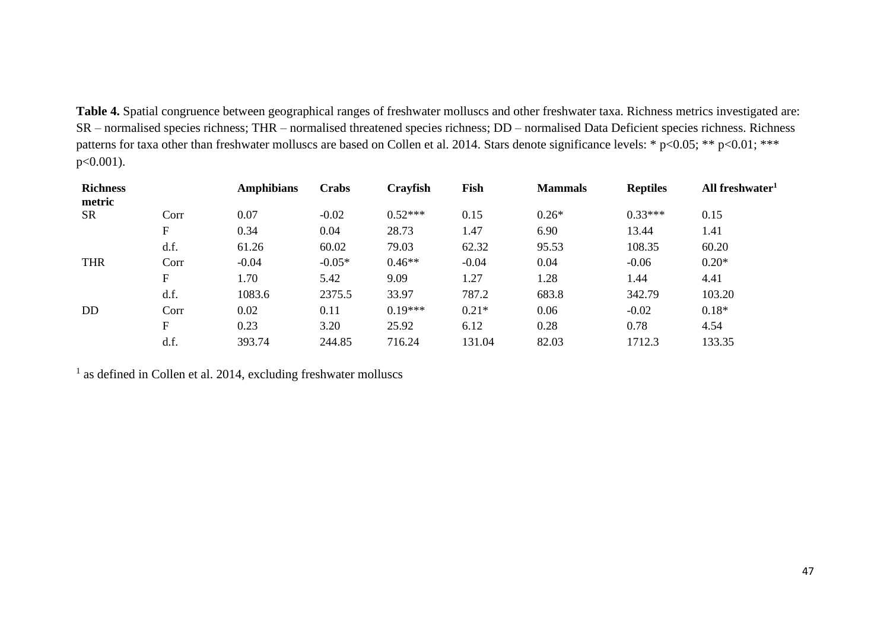**Table 4.** Spatial congruence between geographical ranges of freshwater molluscs and other freshwater taxa. Richness metrics investigated are: SR – normalised species richness; THR – normalised threatened species richness; DD – normalised Data Deficient species richness. Richness patterns for taxa other than freshwater molluscs are based on Collen et al. 2014. Stars denote significance levels: \* p<0.05; \*\* p<0.01; \*\*\* p<0.001).

| <b>Richness</b><br>metric |             | <b>Amphibians</b> | <b>Crabs</b> | Crayfish  | Fish    | <b>Mammals</b> | <b>Reptiles</b> | All freshwater <sup>1</sup> |
|---------------------------|-------------|-------------------|--------------|-----------|---------|----------------|-----------------|-----------------------------|
| <b>SR</b>                 | Corr        | 0.07              | $-0.02$      | $0.52***$ | 0.15    | $0.26*$        | $0.33***$       | 0.15                        |
|                           | $\mathbf F$ | 0.34              | 0.04         | 28.73     | 1.47    | 6.90           | 13.44           | 1.41                        |
|                           | d.f.        | 61.26             | 60.02        | 79.03     | 62.32   | 95.53          | 108.35          | 60.20                       |
| <b>THR</b>                | Corr        | $-0.04$           | $-0.05*$     | $0.46**$  | $-0.04$ | 0.04           | $-0.06$         | $0.20*$                     |
|                           | $\mathbf F$ | 1.70              | 5.42         | 9.09      | 1.27    | 1.28           | 1.44            | 4.41                        |
|                           | d.f.        | 1083.6            | 2375.5       | 33.97     | 787.2   | 683.8          | 342.79          | 103.20                      |
| D <sub>D</sub>            | Corr        | 0.02              | 0.11         | $0.19***$ | $0.21*$ | 0.06           | $-0.02$         | $0.18*$                     |
|                           | F           | 0.23              | 3.20         | 25.92     | 6.12    | 0.28           | 0.78            | 4.54                        |
|                           | d.f.        | 393.74            | 244.85       | 716.24    | 131.04  | 82.03          | 1712.3          | 133.35                      |

<sup>1</sup> as defined in Collen et al. 2014, excluding freshwater molluscs